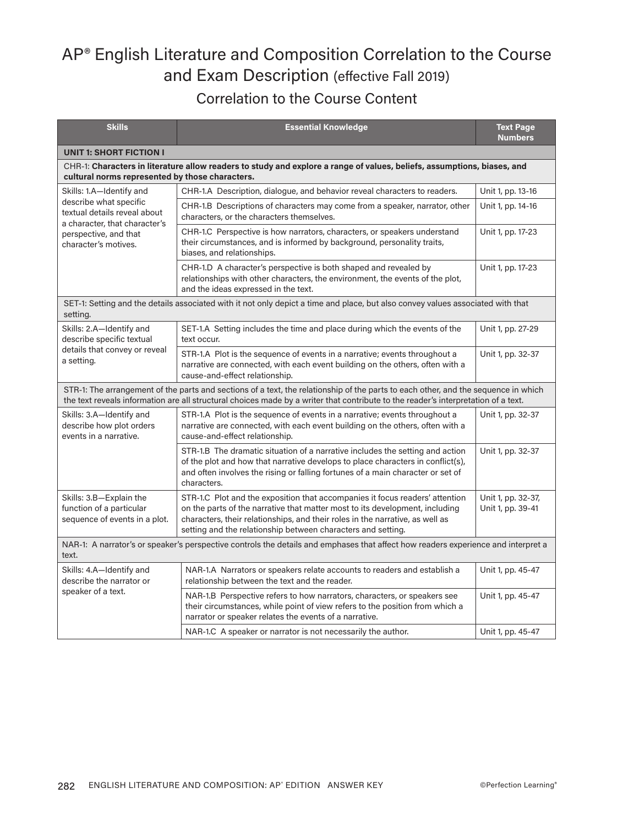## AP® English Literature and Composition Correlation to the Course and Exam Description (effective Fall 2019)

Correlation to the Course Content

| <b>Skills</b>                                                                                                                              | <b>Essential Knowledge</b>                                                                                                                                                                                                                                                                                    | <b>Text Page</b><br><b>Numbers</b>      |
|--------------------------------------------------------------------------------------------------------------------------------------------|---------------------------------------------------------------------------------------------------------------------------------------------------------------------------------------------------------------------------------------------------------------------------------------------------------------|-----------------------------------------|
| <b>UNIT 1: SHORT FICTION I</b>                                                                                                             |                                                                                                                                                                                                                                                                                                               |                                         |
| cultural norms represented by those characters.                                                                                            | CHR-1: Characters in literature allow readers to study and explore a range of values, beliefs, assumptions, biases, and                                                                                                                                                                                       |                                         |
| Skills: 1.A-Identify and                                                                                                                   | CHR-1.A Description, dialogue, and behavior reveal characters to readers.                                                                                                                                                                                                                                     | Unit 1, pp. 13-16                       |
| describe what specific<br>textual details reveal about<br>a character, that character's                                                    | CHR-1.B Descriptions of characters may come from a speaker, narrator, other<br>characters, or the characters themselves.                                                                                                                                                                                      | Unit 1, pp. 14-16                       |
| perspective, and that<br>character's motives.                                                                                              | CHR-1.C Perspective is how narrators, characters, or speakers understand<br>their circumstances, and is informed by background, personality traits,<br>biases, and relationships.                                                                                                                             | Unit 1, pp. 17-23                       |
|                                                                                                                                            | CHR-1.D A character's perspective is both shaped and revealed by<br>relationships with other characters, the environment, the events of the plot,<br>and the ideas expressed in the text.                                                                                                                     | Unit 1, pp. 17-23                       |
| setting.                                                                                                                                   | SET-1: Setting and the details associated with it not only depict a time and place, but also convey values associated with that                                                                                                                                                                               |                                         |
| Skills: 2.A-Identify and<br>describe specific textual                                                                                      | SET-1.A Setting includes the time and place during which the events of the<br>text occur.                                                                                                                                                                                                                     | Unit 1, pp. 27-29                       |
| details that convey or reveal<br>a setting.                                                                                                | STR-1.A Plot is the sequence of events in a narrative; events throughout a<br>narrative are connected, with each event building on the others, often with a<br>cause-and-effect relationship.                                                                                                                 | Unit 1, pp. 32-37                       |
|                                                                                                                                            | STR-1: The arrangement of the parts and sections of a text, the relationship of the parts to each other, and the sequence in which<br>the text reveals information are all structural choices made by a writer that contribute to the reader's interpretation of a text.                                      |                                         |
| Skills: 3.A-Identify and<br>describe how plot orders<br>events in a narrative.                                                             | STR-1.A Plot is the sequence of events in a narrative; events throughout a<br>narrative are connected, with each event building on the others, often with a<br>cause-and-effect relationship.                                                                                                                 | Unit 1, pp. 32-37                       |
|                                                                                                                                            | STR-1.B The dramatic situation of a narrative includes the setting and action<br>of the plot and how that narrative develops to place characters in conflict(s),<br>and often involves the rising or falling fortunes of a main character or set of<br>characters.                                            | Unit 1, pp. 32-37                       |
| Skills: 3.B-Explain the<br>function of a particular<br>sequence of events in a plot.                                                       | STR-1.C Plot and the exposition that accompanies it focus readers' attention<br>on the parts of the narrative that matter most to its development, including<br>characters, their relationships, and their roles in the narrative, as well as<br>setting and the relationship between characters and setting. | Unit 1, pp. 32-37,<br>Unit 1, pp. 39-41 |
| NAR-1: A narrator's or speaker's perspective controls the details and emphases that affect how readers experience and interpret a<br>text. |                                                                                                                                                                                                                                                                                                               |                                         |
| Skills: 4.A-Identify and<br>describe the narrator or<br>speaker of a text.                                                                 | NAR-1.A Narrators or speakers relate accounts to readers and establish a<br>relationship between the text and the reader.                                                                                                                                                                                     | Unit 1, pp. 45-47                       |
|                                                                                                                                            | NAR-1.B Perspective refers to how narrators, characters, or speakers see<br>their circumstances, while point of view refers to the position from which a<br>narrator or speaker relates the events of a narrative.                                                                                            | Unit 1, pp. 45-47                       |
|                                                                                                                                            | NAR-1.C A speaker or narrator is not necessarily the author.                                                                                                                                                                                                                                                  | Unit 1, pp. 45-47                       |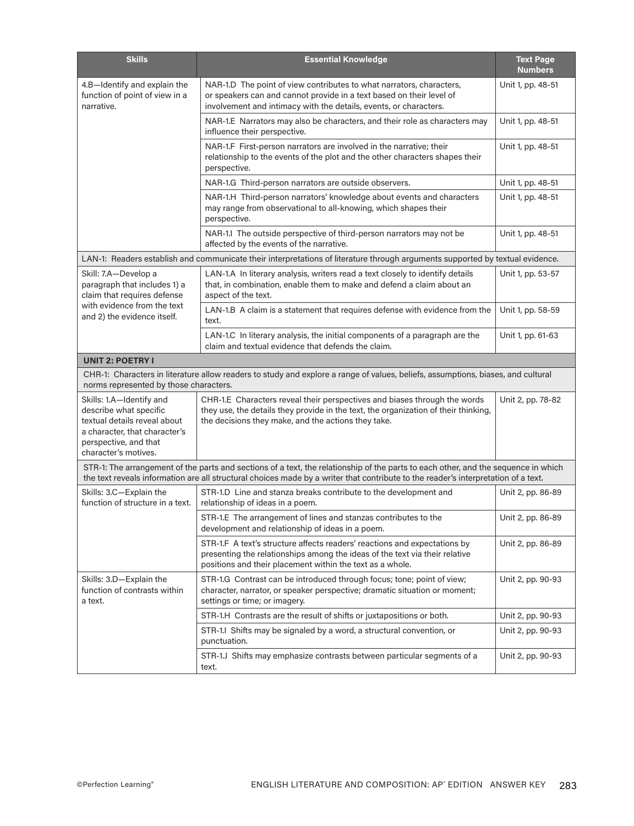| <b>Skills</b>                                                                                                                                                        | <b>Essential Knowledge</b>                                                                                                                                                                                                                                               | <b>Text Page</b><br><b>Numbers</b> |
|----------------------------------------------------------------------------------------------------------------------------------------------------------------------|--------------------------------------------------------------------------------------------------------------------------------------------------------------------------------------------------------------------------------------------------------------------------|------------------------------------|
| 4.B-Identify and explain the<br>function of point of view in a<br>narrative.                                                                                         | NAR-1.D The point of view contributes to what narrators, characters,<br>or speakers can and cannot provide in a text based on their level of<br>involvement and intimacy with the details, events, or characters.                                                        | Unit 1, pp. 48-51                  |
|                                                                                                                                                                      | NAR-1.E Narrators may also be characters, and their role as characters may<br>influence their perspective.                                                                                                                                                               | Unit 1, pp. 48-51                  |
|                                                                                                                                                                      | NAR-1.F First-person narrators are involved in the narrative; their<br>relationship to the events of the plot and the other characters shapes their<br>perspective.                                                                                                      | Unit 1, pp. 48-51                  |
|                                                                                                                                                                      | NAR-1.G Third-person narrators are outside observers.                                                                                                                                                                                                                    | Unit 1, pp. 48-51                  |
|                                                                                                                                                                      | NAR-1.H Third-person narrators' knowledge about events and characters<br>may range from observational to all-knowing, which shapes their<br>perspective.                                                                                                                 | Unit 1, pp. 48-51                  |
|                                                                                                                                                                      | NAR-1.I The outside perspective of third-person narrators may not be<br>affected by the events of the narrative.                                                                                                                                                         | Unit 1, pp. 48-51                  |
|                                                                                                                                                                      | LAN-1: Readers establish and communicate their interpretations of literature through arguments supported by textual evidence.                                                                                                                                            |                                    |
| Skill: 7.A-Develop a<br>paragraph that includes 1) a<br>claim that requires defense                                                                                  | LAN-1.A In literary analysis, writers read a text closely to identify details<br>that, in combination, enable them to make and defend a claim about an<br>aspect of the text.                                                                                            | Unit 1, pp. 53-57                  |
| with evidence from the text<br>and 2) the evidence itself.                                                                                                           | LAN-1.B A claim is a statement that requires defense with evidence from the<br>text.                                                                                                                                                                                     | Unit 1, pp. 58-59                  |
|                                                                                                                                                                      | LAN-1.C In literary analysis, the initial components of a paragraph are the<br>claim and textual evidence that defends the claim.                                                                                                                                        | Unit 1, pp. 61-63                  |
| <b>UNIT 2: POETRY I</b>                                                                                                                                              |                                                                                                                                                                                                                                                                          |                                    |
| norms represented by those characters.                                                                                                                               | CHR-1: Characters in literature allow readers to study and explore a range of values, beliefs, assumptions, biases, and cultural                                                                                                                                         |                                    |
| Skills: 1.A-Identify and<br>describe what specific<br>textual details reveal about<br>a character, that character's<br>perspective, and that<br>character's motives. | CHR-1.E Characters reveal their perspectives and biases through the words<br>they use, the details they provide in the text, the organization of their thinking,<br>the decisions they make, and the actions they take.                                                  | Unit 2, pp. 78-82                  |
|                                                                                                                                                                      | STR-1: The arrangement of the parts and sections of a text, the relationship of the parts to each other, and the sequence in which<br>the text reveals information are all structural choices made by a writer that contribute to the reader's interpretation of a text. |                                    |
| Skills: 3.C-Explain the<br>function of structure in a text.                                                                                                          | STR-1.D Line and stanza breaks contribute to the development and<br>relationship of ideas in a poem.                                                                                                                                                                     | Unit 2, pp. 86-89                  |
|                                                                                                                                                                      | STR-1.E The arrangement of lines and stanzas contributes to the<br>development and relationship of ideas in a poem.                                                                                                                                                      | Unit 2, pp. 86-89                  |
|                                                                                                                                                                      | STR-1.F A text's structure affects readers' reactions and expectations by<br>presenting the relationships among the ideas of the text via their relative<br>positions and their placement within the text as a whole.                                                    | Unit 2, pp. 86-89                  |
| Skills: 3.D-Explain the<br>function of contrasts within<br>a text.                                                                                                   | STR-1.G Contrast can be introduced through focus; tone; point of view;<br>character, narrator, or speaker perspective; dramatic situation or moment;<br>settings or time; or imagery.                                                                                    | Unit 2, pp. 90-93                  |
|                                                                                                                                                                      | STR-1.H Contrasts are the result of shifts or juxtapositions or both.                                                                                                                                                                                                    | Unit 2, pp. 90-93                  |
|                                                                                                                                                                      | STR-1.1 Shifts may be signaled by a word, a structural convention, or<br>punctuation.                                                                                                                                                                                    | Unit 2, pp. 90-93                  |
|                                                                                                                                                                      | STR-1.J Shifts may emphasize contrasts between particular segments of a<br>text.                                                                                                                                                                                         | Unit 2, pp. 90-93                  |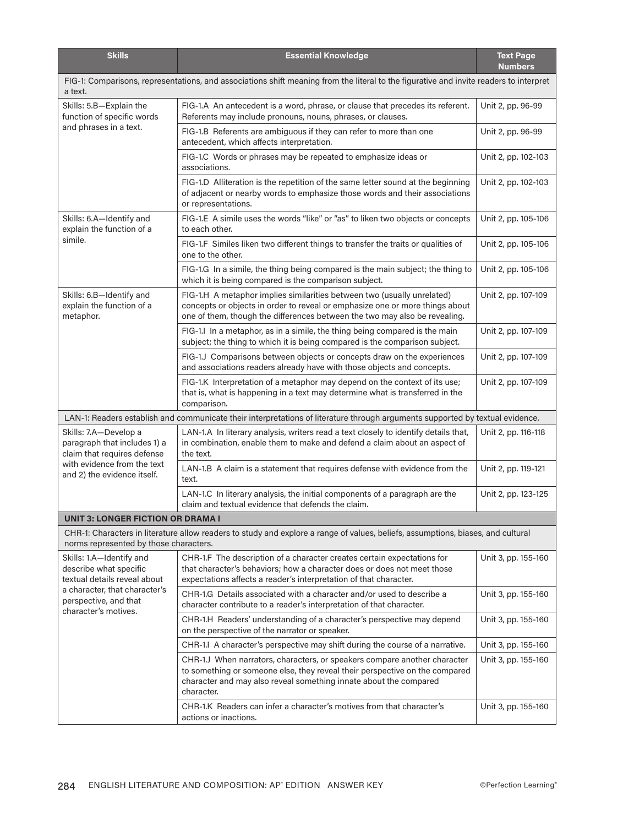| <b>Skills</b>                                                                        | <b>Essential Knowledge</b>                                                                                                                                                                                                                  | <b>Text Page</b><br><b>Numbers</b> |  |
|--------------------------------------------------------------------------------------|---------------------------------------------------------------------------------------------------------------------------------------------------------------------------------------------------------------------------------------------|------------------------------------|--|
| a text.                                                                              | FIG-1: Comparisons, representations, and associations shift meaning from the literal to the figurative and invite readers to interpret                                                                                                      |                                    |  |
| Skills: 5.B-Explain the<br>function of specific words                                | FIG-1.A An antecedent is a word, phrase, or clause that precedes its referent.<br>Referents may include pronouns, nouns, phrases, or clauses.                                                                                               | Unit 2, pp. 96-99                  |  |
| and phrases in a text.                                                               | FIG-1.B Referents are ambiguous if they can refer to more than one<br>antecedent, which affects interpretation.                                                                                                                             | Unit 2, pp. 96-99                  |  |
|                                                                                      | FIG-1.C Words or phrases may be repeated to emphasize ideas or<br>associations.                                                                                                                                                             | Unit 2, pp. 102-103                |  |
|                                                                                      | FIG-1.D Alliteration is the repetition of the same letter sound at the beginning<br>of adjacent or nearby words to emphasize those words and their associations<br>or representations.                                                      | Unit 2, pp. 102-103                |  |
| Skills: 6.A-Identify and<br>explain the function of a                                | FIG-1.E A simile uses the words "like" or "as" to liken two objects or concepts<br>to each other.                                                                                                                                           | Unit 2, pp. 105-106                |  |
| simile.                                                                              | FIG-1.F Similes liken two different things to transfer the traits or qualities of<br>one to the other.                                                                                                                                      | Unit 2, pp. 105-106                |  |
|                                                                                      | FIG-1.G In a simile, the thing being compared is the main subject; the thing to<br>which it is being compared is the comparison subject.                                                                                                    | Unit 2, pp. 105-106                |  |
| Skills: 6.B-Identify and<br>explain the function of a<br>metaphor.                   | FIG-1.H A metaphor implies similarities between two (usually unrelated)<br>concepts or objects in order to reveal or emphasize one or more things about<br>one of them, though the differences between the two may also be revealing.       | Unit 2, pp. 107-109                |  |
|                                                                                      | FIG-1.I In a metaphor, as in a simile, the thing being compared is the main<br>subject; the thing to which it is being compared is the comparison subject.                                                                                  | Unit 2, pp. 107-109                |  |
|                                                                                      | FIG-1.J Comparisons between objects or concepts draw on the experiences<br>and associations readers already have with those objects and concepts.                                                                                           | Unit 2, pp. 107-109                |  |
|                                                                                      | FIG-1.K Interpretation of a metaphor may depend on the context of its use;<br>that is, what is happening in a text may determine what is transferred in the<br>comparison.                                                                  | Unit 2, pp. 107-109                |  |
|                                                                                      | LAN-1: Readers establish and communicate their interpretations of literature through arguments supported by textual evidence.                                                                                                               |                                    |  |
| Skills: 7.A-Develop a<br>paragraph that includes 1) a<br>claim that requires defense | LAN-1.A In literary analysis, writers read a text closely to identify details that,<br>in combination, enable them to make and defend a claim about an aspect of<br>the text.                                                               | Unit 2, pp. 116-118                |  |
| with evidence from the text<br>and 2) the evidence itself.                           | LAN-1.B A claim is a statement that requires defense with evidence from the<br>text.                                                                                                                                                        | Unit 2, pp. 119-121                |  |
|                                                                                      | LAN-1.C In literary analysis, the initial components of a paragraph are the<br>claim and textual evidence that defends the claim.                                                                                                           | Unit 2, pp. 123-125                |  |
| <b>UNIT 3: LONGER FICTION OR DRAMA I</b>                                             |                                                                                                                                                                                                                                             |                                    |  |
| norms represented by those characters.                                               | CHR-1: Characters in literature allow readers to study and explore a range of values, beliefs, assumptions, biases, and cultural                                                                                                            |                                    |  |
| Skills: 1.A-Identify and<br>describe what specific<br>textual details reveal about   | CHR-1.F The description of a character creates certain expectations for<br>that character's behaviors; how a character does or does not meet those<br>expectations affects a reader's interpretation of that character.                     | Unit 3, pp. 155-160                |  |
| a character, that character's<br>perspective, and that<br>character's motives.       | CHR-1.G Details associated with a character and/or used to describe a<br>character contribute to a reader's interpretation of that character.                                                                                               | Unit 3, pp. 155-160                |  |
|                                                                                      | CHR-1.H Readers' understanding of a character's perspective may depend<br>on the perspective of the narrator or speaker.                                                                                                                    | Unit 3, pp. 155-160                |  |
|                                                                                      | CHR-1.I A character's perspective may shift during the course of a narrative.                                                                                                                                                               | Unit 3, pp. 155-160                |  |
|                                                                                      | CHR-1.J When narrators, characters, or speakers compare another character<br>to something or someone else, they reveal their perspective on the compared<br>character and may also reveal something innate about the compared<br>character. | Unit 3, pp. 155-160                |  |
|                                                                                      | CHR-1.K Readers can infer a character's motives from that character's<br>actions or inactions.                                                                                                                                              | Unit 3, pp. 155-160                |  |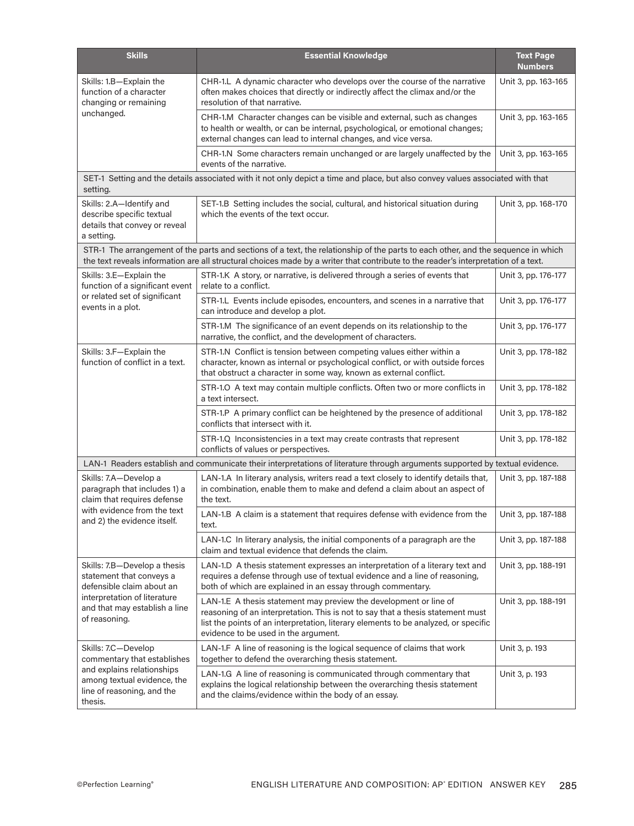| <b>Skills</b>                                                                                                                                                           | <b>Essential Knowledge</b>                                                                                                                                                                                                                                                          | <b>Text Page</b><br><b>Numbers</b> |
|-------------------------------------------------------------------------------------------------------------------------------------------------------------------------|-------------------------------------------------------------------------------------------------------------------------------------------------------------------------------------------------------------------------------------------------------------------------------------|------------------------------------|
| Skills: 1.B-Explain the<br>function of a character<br>changing or remaining                                                                                             | CHR-1.L A dynamic character who develops over the course of the narrative<br>often makes choices that directly or indirectly affect the climax and/or the<br>resolution of that narrative.                                                                                          | Unit 3, pp. 163-165                |
| unchanged.                                                                                                                                                              | CHR-1.M Character changes can be visible and external, such as changes<br>to health or wealth, or can be internal, psychological, or emotional changes;<br>external changes can lead to internal changes, and vice versa.                                                           | Unit 3, pp. 163-165                |
|                                                                                                                                                                         | CHR-1.N Some characters remain unchanged or are largely unaffected by the<br>events of the narrative.                                                                                                                                                                               | Unit 3, pp. 163-165                |
| setting.                                                                                                                                                                | SET-1 Setting and the details associated with it not only depict a time and place, but also convey values associated with that                                                                                                                                                      |                                    |
| Skills: 2.A-Identify and<br>describe specific textual<br>details that convey or reveal<br>a setting.                                                                    | SET-1.B Setting includes the social, cultural, and historical situation during<br>which the events of the text occur.                                                                                                                                                               | Unit 3, pp. 168-170                |
|                                                                                                                                                                         | STR-1 The arrangement of the parts and sections of a text, the relationship of the parts to each other, and the sequence in which<br>the text reveals information are all structural choices made by a writer that contribute to the reader's interpretation of a text.             |                                    |
| Skills: 3.E-Explain the<br>function of a significant event                                                                                                              | STR-1.K A story, or narrative, is delivered through a series of events that<br>relate to a conflict.                                                                                                                                                                                | Unit 3, pp. 176-177                |
| or related set of significant<br>events in a plot.                                                                                                                      | STR-1.L Events include episodes, encounters, and scenes in a narrative that<br>can introduce and develop a plot.                                                                                                                                                                    | Unit 3, pp. 176-177                |
|                                                                                                                                                                         | STR-1.M The significance of an event depends on its relationship to the<br>narrative, the conflict, and the development of characters.                                                                                                                                              | Unit 3, pp. 176-177                |
| Skills: 3.F-Explain the<br>function of conflict in a text.                                                                                                              | STR-1.N Conflict is tension between competing values either within a<br>character, known as internal or psychological conflict, or with outside forces<br>that obstruct a character in some way, known as external conflict.                                                        | Unit 3, pp. 178-182                |
|                                                                                                                                                                         | STR-1.O A text may contain multiple conflicts. Often two or more conflicts in<br>a text intersect.                                                                                                                                                                                  | Unit 3, pp. 178-182                |
|                                                                                                                                                                         | STR-1.P A primary conflict can be heightened by the presence of additional<br>conflicts that intersect with it.                                                                                                                                                                     | Unit 3, pp. 178-182                |
|                                                                                                                                                                         | STR-1.Q Inconsistencies in a text may create contrasts that represent<br>conflicts of values or perspectives.                                                                                                                                                                       | Unit 3, pp. 178-182                |
|                                                                                                                                                                         | LAN-1 Readers establish and communicate their interpretations of literature through arguments supported by textual evidence.                                                                                                                                                        |                                    |
| Skills: 7.A-Develop a<br>paragraph that includes 1) a<br>claim that requires defense                                                                                    | LAN-1.A In literary analysis, writers read a text closely to identify details that,<br>in combination, enable them to make and defend a claim about an aspect of<br>the text.                                                                                                       | Unit 3, pp. 187-188                |
| with evidence from the text<br>and 2) the evidence itself.                                                                                                              | LAN-1.B A claim is a statement that requires defense with evidence from the<br>text.                                                                                                                                                                                                | Unit 3, pp. 187-188                |
|                                                                                                                                                                         | LAN-1.C In literary analysis, the initial components of a paragraph are the<br>claim and textual evidence that defends the claim.                                                                                                                                                   | Unit 3, pp. 187-188                |
| Skills: 7.B-Develop a thesis<br>statement that conveys a<br>defensible claim about an<br>interpretation of literature<br>and that may establish a line<br>of reasoning. | LAN-1.D A thesis statement expresses an interpretation of a literary text and<br>requires a defense through use of textual evidence and a line of reasoning,<br>both of which are explained in an essay through commentary.                                                         | Unit 3, pp. 188-191                |
|                                                                                                                                                                         | LAN-1.E A thesis statement may preview the development or line of<br>reasoning of an interpretation. This is not to say that a thesis statement must<br>list the points of an interpretation, literary elements to be analyzed, or specific<br>evidence to be used in the argument. | Unit 3, pp. 188-191                |
| Skills: 7.C-Develop<br>commentary that establishes                                                                                                                      | LAN-1.F A line of reasoning is the logical sequence of claims that work<br>together to defend the overarching thesis statement.                                                                                                                                                     | Unit 3, p. 193                     |
| and explains relationships<br>among textual evidence, the<br>line of reasoning, and the<br>thesis.                                                                      | LAN-1.G A line of reasoning is communicated through commentary that<br>explains the logical relationship between the overarching thesis statement<br>and the claims/evidence within the body of an essay.                                                                           | Unit 3, p. 193                     |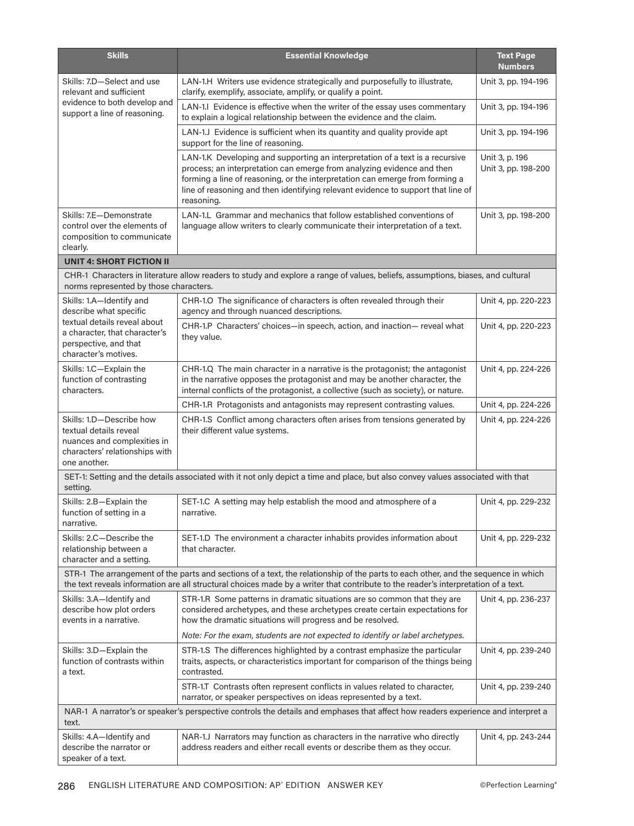| <b>Skills</b>                                                                                                                       | <b>Essential Knowledge</b>                                                                                                                                                                                                                                                                                                               | <b>Text Page</b><br><b>Numbers</b>    |
|-------------------------------------------------------------------------------------------------------------------------------------|------------------------------------------------------------------------------------------------------------------------------------------------------------------------------------------------------------------------------------------------------------------------------------------------------------------------------------------|---------------------------------------|
| Skills: 7.D-Select and use<br>relevant and sufficient<br>evidence to both develop and<br>support a line of reasoning.               | LAN-1.H Writers use evidence strategically and purposefully to illustrate,<br>clarify, exemplify, associate, amplify, or qualify a point.                                                                                                                                                                                                | Unit 3, pp. 194-196                   |
|                                                                                                                                     | LAN-1.I Evidence is effective when the writer of the essay uses commentary<br>to explain a logical relationship between the evidence and the claim.                                                                                                                                                                                      | Unit 3, pp. 194-196                   |
|                                                                                                                                     | LAN-1.J Evidence is sufficient when its quantity and quality provide apt<br>support for the line of reasoning.                                                                                                                                                                                                                           | Unit 3, pp. 194-196                   |
|                                                                                                                                     | LAN-1.K Developing and supporting an interpretation of a text is a recursive<br>process; an interpretation can emerge from analyzing evidence and then<br>forming a line of reasoning, or the interpretation can emerge from forming a<br>line of reasoning and then identifying relevant evidence to support that line of<br>reasoning. | Unit 3, p. 196<br>Unit 3, pp. 198-200 |
| Skills: 7.E-Demonstrate<br>control over the elements of<br>composition to communicate<br>clearly.                                   | LAN-1.L Grammar and mechanics that follow established conventions of<br>language allow writers to clearly communicate their interpretation of a text.                                                                                                                                                                                    | Unit 3, pp. 198-200                   |
| <b>UNIT 4: SHORT FICTION II</b>                                                                                                     |                                                                                                                                                                                                                                                                                                                                          |                                       |
| norms represented by those characters.                                                                                              | CHR-1 Characters in literature allow readers to study and explore a range of values, beliefs, assumptions, biases, and cultural                                                                                                                                                                                                          |                                       |
| Skills: 1.A-Identify and<br>describe what specific                                                                                  | CHR-1.0 The significance of characters is often revealed through their<br>agency and through nuanced descriptions.                                                                                                                                                                                                                       | Unit 4, pp. 220-223                   |
| textual details reveal about<br>a character, that character's<br>perspective, and that<br>character's motives.                      | CHR-1.P Characters' choices-in speech, action, and inaction- reveal what<br>they value.                                                                                                                                                                                                                                                  | Unit 4, pp. 220-223                   |
| Skills: 1.C-Explain the<br>function of contrasting<br>characters.                                                                   | CHR-1.Q The main character in a narrative is the protagonist; the antagonist<br>in the narrative opposes the protagonist and may be another character, the<br>internal conflicts of the protagonist, a collective (such as society), or nature.                                                                                          | Unit 4, pp. 224-226                   |
|                                                                                                                                     | CHR-1.R Protagonists and antagonists may represent contrasting values.                                                                                                                                                                                                                                                                   | Unit 4, pp. 224-226                   |
| Skills: 1.D-Describe how<br>textual details reveal<br>nuances and complexities in<br>characters' relationships with<br>one another. | CHR-1.S Conflict among characters often arises from tensions generated by<br>their different value systems.                                                                                                                                                                                                                              | Unit 4, pp. 224-226                   |
| setting.                                                                                                                            | SET-1: Setting and the details associated with it not only depict a time and place, but also convey values associated with that                                                                                                                                                                                                          |                                       |
| Skills: 2.B-Explain the<br>function of setting in a<br>narrative.                                                                   | SET-1.C A setting may help establish the mood and atmosphere of a<br>narrative.                                                                                                                                                                                                                                                          | Unit 4, pp. 229-232                   |
| Skills: 2.C-Describe the<br>relationship between a<br>character and a setting.                                                      | SET-1.D The environment a character inhabits provides information about<br>that character.                                                                                                                                                                                                                                               | Unit 4, pp. 229-232                   |
|                                                                                                                                     | STR-1 The arrangement of the parts and sections of a text, the relationship of the parts to each other, and the sequence in which<br>the text reveals information are all structural choices made by a writer that contribute to the reader's interpretation of a text.                                                                  |                                       |
| Skills: 3.A-Identify and<br>describe how plot orders<br>events in a narrative.                                                      | STR-1.R Some patterns in dramatic situations are so common that they are<br>considered archetypes, and these archetypes create certain expectations for<br>how the dramatic situations will progress and be resolved.                                                                                                                    | Unit 4, pp. 236-237                   |
|                                                                                                                                     | Note: For the exam, students are not expected to identify or label archetypes.                                                                                                                                                                                                                                                           |                                       |
| Skills: 3.D-Explain the<br>function of contrasts within<br>a text.                                                                  | STR-1.S The differences highlighted by a contrast emphasize the particular<br>traits, aspects, or characteristics important for comparison of the things being<br>contrasted.                                                                                                                                                            | Unit 4, pp. 239-240                   |
|                                                                                                                                     | STR-1.T Contrasts often represent conflicts in values related to character,<br>narrator, or speaker perspectives on ideas represented by a text.                                                                                                                                                                                         | Unit 4, pp. 239-240                   |
| text.                                                                                                                               | NAR-1 A narrator's or speaker's perspective controls the details and emphases that affect how readers experience and interpret a                                                                                                                                                                                                         |                                       |
| Skills: 4.A—Identify and<br>describe the narrator or<br>speaker of a text.                                                          | NAR-1.J Narrators may function as characters in the narrative who directly<br>address readers and either recall events or describe them as they occur.                                                                                                                                                                                   | Unit 4, pp. 243-244                   |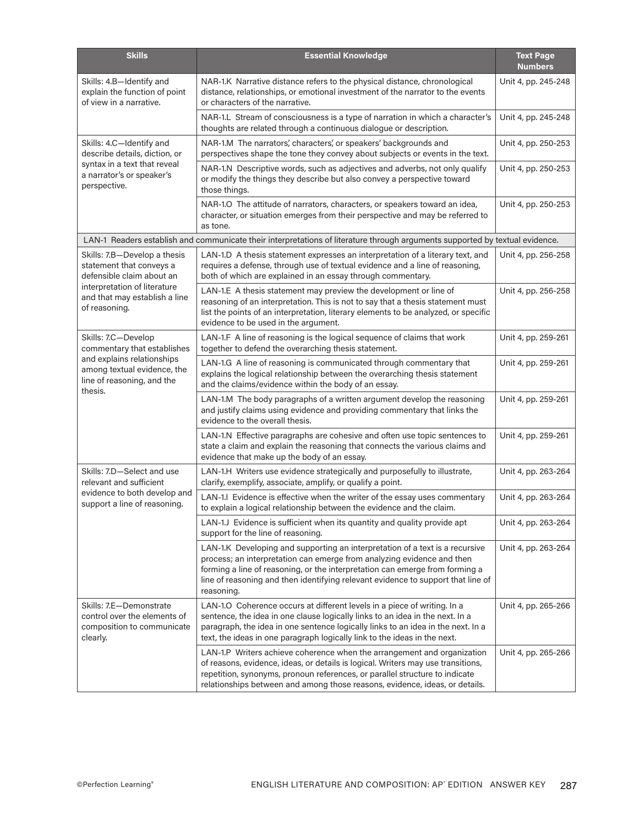| <b>Skills</b>                                                                                      | <b>Essential Knowledge</b>                                                                                                                                                                                                                                                                                                               | <b>Text Page</b><br><b>Numbers</b> |
|----------------------------------------------------------------------------------------------------|------------------------------------------------------------------------------------------------------------------------------------------------------------------------------------------------------------------------------------------------------------------------------------------------------------------------------------------|------------------------------------|
| Skills: 4.B-Identify and<br>explain the function of point<br>of view in a narrative.               | NAR-1.K Narrative distance refers to the physical distance, chronological<br>distance, relationships, or emotional investment of the narrator to the events<br>or characters of the narrative.                                                                                                                                           | Unit 4, pp. 245-248                |
|                                                                                                    | NAR-1.L Stream of consciousness is a type of narration in which a character's<br>thoughts are related through a continuous dialogue or description.                                                                                                                                                                                      | Unit 4, pp. 245-248                |
| Skills: 4.C-Identify and<br>describe details, diction, or                                          | NAR-1.M The narrators', characters', or speakers' backgrounds and<br>perspectives shape the tone they convey about subjects or events in the text.                                                                                                                                                                                       | Unit 4, pp. 250-253                |
| syntax in a text that reveal<br>a narrator's or speaker's<br>perspective.                          | NAR-1.N Descriptive words, such as adjectives and adverbs, not only qualify<br>or modify the things they describe but also convey a perspective toward<br>those things.                                                                                                                                                                  | Unit 4, pp. 250-253                |
|                                                                                                    | NAR-1.O The attitude of narrators, characters, or speakers toward an idea,<br>character, or situation emerges from their perspective and may be referred to<br>as tone.                                                                                                                                                                  | Unit 4, pp. 250-253                |
|                                                                                                    | LAN-1 Readers establish and communicate their interpretations of literature through arguments supported by textual evidence.                                                                                                                                                                                                             |                                    |
| Skills: 7.B-Develop a thesis<br>statement that conveys a<br>defensible claim about an              | LAN-1.D A thesis statement expresses an interpretation of a literary text, and<br>requires a defense, through use of textual evidence and a line of reasoning,<br>both of which are explained in an essay through commentary.                                                                                                            | Unit 4, pp. 256-258                |
| interpretation of literature<br>and that may establish a line<br>of reasoning.                     | LAN-1.E A thesis statement may preview the development or line of<br>reasoning of an interpretation. This is not to say that a thesis statement must<br>list the points of an interpretation, literary elements to be analyzed, or specific<br>evidence to be used in the argument.                                                      | Unit 4, pp. 256-258                |
| Skills: 7.C-Develop<br>commentary that establishes                                                 | LAN-1.F A line of reasoning is the logical sequence of claims that work<br>together to defend the overarching thesis statement.                                                                                                                                                                                                          | Unit 4, pp. 259-261                |
| and explains relationships<br>among textual evidence, the<br>line of reasoning, and the<br>thesis. | LAN-1.G A line of reasoning is communicated through commentary that<br>explains the logical relationship between the overarching thesis statement<br>and the claims/evidence within the body of an essay.                                                                                                                                | Unit 4, pp. 259-261                |
|                                                                                                    | LAN-1.M The body paragraphs of a written argument develop the reasoning<br>and justify claims using evidence and providing commentary that links the<br>evidence to the overall thesis.                                                                                                                                                  | Unit 4, pp. 259-261                |
|                                                                                                    | LAN-1.N Effective paragraphs are cohesive and often use topic sentences to<br>state a claim and explain the reasoning that connects the various claims and<br>evidence that make up the body of an essay.                                                                                                                                | Unit 4, pp. 259-261                |
| Skills: 7.D-Select and use<br>relevant and sufficient                                              | LAN-1.H Writers use evidence strategically and purposefully to illustrate,<br>clarify, exemplify, associate, amplify, or qualify a point.                                                                                                                                                                                                | Unit 4, pp. 263-264                |
| evidence to both develop and<br>support a line of reasoning.                                       | LAN-1.I Evidence is effective when the writer of the essay uses commentary<br>to explain a logical relationship between the evidence and the claim.                                                                                                                                                                                      | Unit 4, pp. 263-264                |
|                                                                                                    | LAN-1.J Evidence is sufficient when its quantity and quality provide apt<br>support for the line of reasoning.                                                                                                                                                                                                                           | Unit 4, pp. 263-264                |
|                                                                                                    | LAN-1.K Developing and supporting an interpretation of a text is a recursive<br>process; an interpretation can emerge from analyzing evidence and then<br>forming a line of reasoning, or the interpretation can emerge from forming a<br>line of reasoning and then identifying relevant evidence to support that line of<br>reasoning. | Unit 4, pp. 263-264                |
| Skills: 7.E-Demonstrate<br>control over the elements of<br>composition to communicate<br>clearly.  | LAN-1.O Coherence occurs at different levels in a piece of writing. In a<br>sentence, the idea in one clause logically links to an idea in the next. In a<br>paragraph, the idea in one sentence logically links to an idea in the next. In a<br>text, the ideas in one paragraph logically link to the ideas in the next.               | Unit 4, pp. 265-266                |
|                                                                                                    | LAN-1.P Writers achieve coherence when the arrangement and organization<br>of reasons, evidence, ideas, or details is logical. Writers may use transitions,<br>repetition, synonyms, pronoun references, or parallel structure to indicate<br>relationships between and among those reasons, evidence, ideas, or details.                | Unit 4, pp. 265-266                |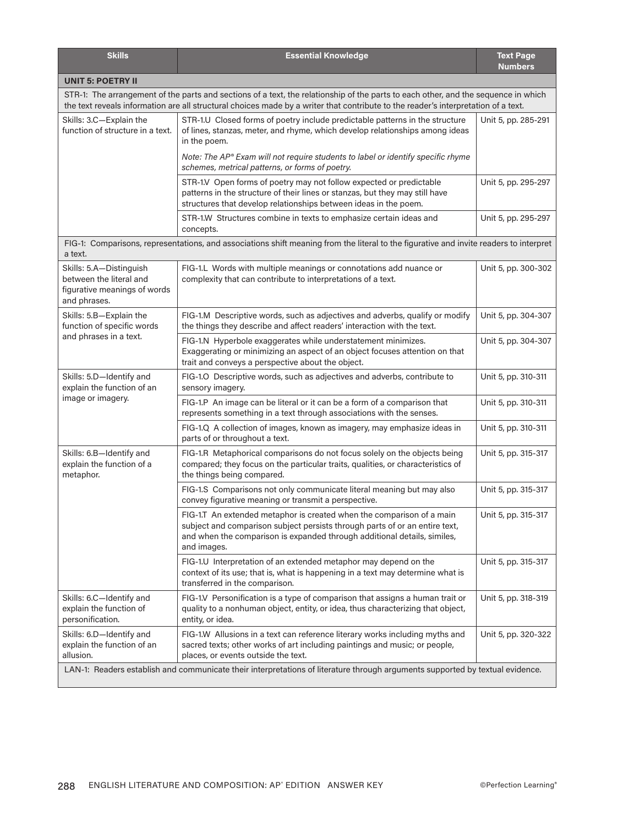| <b>Skills</b>                                                                                                                                                                                                                                                            | <b>Essential Knowledge</b>                                                                                                                                                                                                                      | <b>Text Page</b><br><b>Numbers</b> |
|--------------------------------------------------------------------------------------------------------------------------------------------------------------------------------------------------------------------------------------------------------------------------|-------------------------------------------------------------------------------------------------------------------------------------------------------------------------------------------------------------------------------------------------|------------------------------------|
| <b>UNIT 5: POETRY II</b>                                                                                                                                                                                                                                                 |                                                                                                                                                                                                                                                 |                                    |
| STR-1: The arrangement of the parts and sections of a text, the relationship of the parts to each other, and the sequence in which<br>the text reveals information are all structural choices made by a writer that contribute to the reader's interpretation of a text. |                                                                                                                                                                                                                                                 |                                    |
| Skills: 3.C-Explain the<br>function of structure in a text.                                                                                                                                                                                                              | STR-1.U Closed forms of poetry include predictable patterns in the structure<br>of lines, stanzas, meter, and rhyme, which develop relationships among ideas<br>in the poem.                                                                    | Unit 5, pp. 285-291                |
|                                                                                                                                                                                                                                                                          | Note: The AP® Exam will not require students to label or identify specific rhyme<br>schemes, metrical patterns, or forms of poetry.                                                                                                             |                                    |
|                                                                                                                                                                                                                                                                          | STR-1.V Open forms of poetry may not follow expected or predictable<br>patterns in the structure of their lines or stanzas, but they may still have<br>structures that develop relationships between ideas in the poem.                         | Unit 5, pp. 295-297                |
|                                                                                                                                                                                                                                                                          | STR-1.W Structures combine in texts to emphasize certain ideas and<br>concepts.                                                                                                                                                                 | Unit 5, pp. 295-297                |
| a text.                                                                                                                                                                                                                                                                  | FIG-1: Comparisons, representations, and associations shift meaning from the literal to the figurative and invite readers to interpret                                                                                                          |                                    |
| Skills: 5.A-Distinguish<br>between the literal and<br>figurative meanings of words<br>and phrases.                                                                                                                                                                       | FIG-1.L Words with multiple meanings or connotations add nuance or<br>complexity that can contribute to interpretations of a text.                                                                                                              | Unit 5, pp. 300-302                |
| Skills: 5.B-Explain the<br>function of specific words                                                                                                                                                                                                                    | FIG-1.M Descriptive words, such as adjectives and adverbs, qualify or modify<br>the things they describe and affect readers' interaction with the text.                                                                                         | Unit 5, pp. 304-307                |
| and phrases in a text.                                                                                                                                                                                                                                                   | FIG-1.N Hyperbole exaggerates while understatement minimizes.<br>Exaggerating or minimizing an aspect of an object focuses attention on that<br>trait and conveys a perspective about the object.                                               | Unit 5, pp. 304-307                |
| Skills: 5.D-Identify and<br>explain the function of an                                                                                                                                                                                                                   | FIG-1.O Descriptive words, such as adjectives and adverbs, contribute to<br>sensory imagery.                                                                                                                                                    | Unit 5, pp. 310-311                |
| image or imagery.                                                                                                                                                                                                                                                        | FIG-1.P An image can be literal or it can be a form of a comparison that<br>represents something in a text through associations with the senses.                                                                                                | Unit 5, pp. 310-311                |
|                                                                                                                                                                                                                                                                          | FIG-1.Q A collection of images, known as imagery, may emphasize ideas in<br>parts of or throughout a text.                                                                                                                                      | Unit 5, pp. 310-311                |
| Skills: 6.B-Identify and<br>explain the function of a<br>metaphor.                                                                                                                                                                                                       | FIG-1.R Metaphorical comparisons do not focus solely on the objects being<br>compared; they focus on the particular traits, qualities, or characteristics of<br>the things being compared.                                                      | Unit 5, pp. 315-317                |
|                                                                                                                                                                                                                                                                          | FIG-1.S Comparisons not only communicate literal meaning but may also<br>convey figurative meaning or transmit a perspective.                                                                                                                   | Unit 5, pp. 315-317                |
|                                                                                                                                                                                                                                                                          | FIG-1.T An extended metaphor is created when the comparison of a main<br>subject and comparison subject persists through parts of or an entire text,<br>and when the comparison is expanded through additional details, similes,<br>and images. | Unit 5, pp. 315-317                |
|                                                                                                                                                                                                                                                                          | FIG-1.U Interpretation of an extended metaphor may depend on the<br>context of its use; that is, what is happening in a text may determine what is<br>transferred in the comparison.                                                            | Unit 5, pp. 315-317                |
| Skills: 6.C-Identify and<br>explain the function of<br>personification.                                                                                                                                                                                                  | FIG-1.V Personification is a type of comparison that assigns a human trait or<br>quality to a nonhuman object, entity, or idea, thus characterizing that object,<br>entity, or idea.                                                            | Unit 5, pp. 318-319                |
| Skills: 6.D-Identify and<br>explain the function of an<br>allusion.                                                                                                                                                                                                      | FIG-1.W Allusions in a text can reference literary works including myths and<br>sacred texts; other works of art including paintings and music; or people,<br>places, or events outside the text.                                               | Unit 5, pp. 320-322                |
| LAN-1: Readers establish and communicate their interpretations of literature through arguments supported by textual evidence.                                                                                                                                            |                                                                                                                                                                                                                                                 |                                    |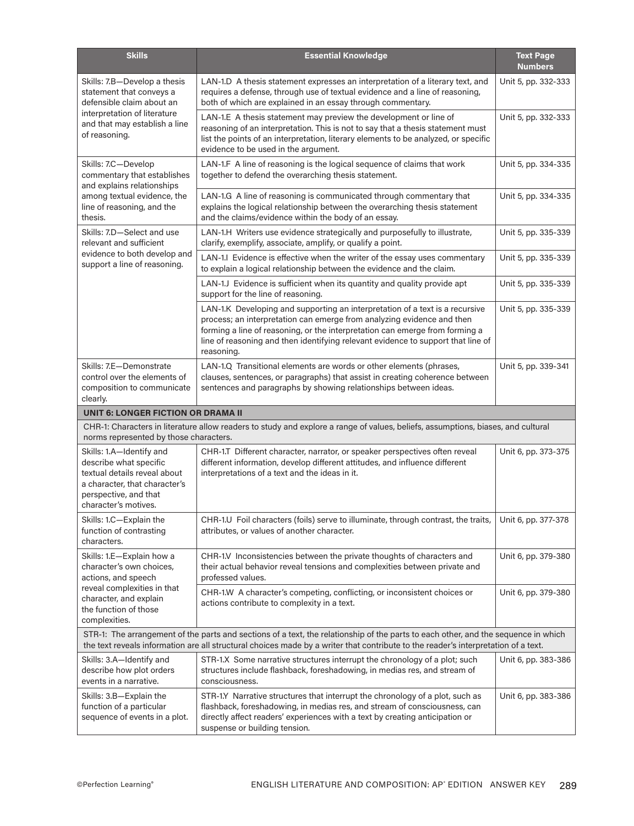| <b>Skills</b>                                                                                                                                                                                                                                                            | <b>Essential Knowledge</b>                                                                                                                                                                                                                                                                                                               | <b>Text Page</b><br><b>Numbers</b> |
|--------------------------------------------------------------------------------------------------------------------------------------------------------------------------------------------------------------------------------------------------------------------------|------------------------------------------------------------------------------------------------------------------------------------------------------------------------------------------------------------------------------------------------------------------------------------------------------------------------------------------|------------------------------------|
| Skills: 7.B-Develop a thesis<br>statement that conveys a<br>defensible claim about an                                                                                                                                                                                    | LAN-1.D A thesis statement expresses an interpretation of a literary text, and<br>requires a defense, through use of textual evidence and a line of reasoning,<br>both of which are explained in an essay through commentary.                                                                                                            | Unit 5, pp. 332-333                |
| interpretation of literature<br>and that may establish a line<br>of reasoning.                                                                                                                                                                                           | LAN-1.E A thesis statement may preview the development or line of<br>reasoning of an interpretation. This is not to say that a thesis statement must<br>list the points of an interpretation, literary elements to be analyzed, or specific<br>evidence to be used in the argument.                                                      | Unit 5, pp. 332-333                |
| Skills: 7.C-Develop<br>commentary that establishes<br>and explains relationships                                                                                                                                                                                         | LAN-1.F A line of reasoning is the logical sequence of claims that work<br>together to defend the overarching thesis statement.                                                                                                                                                                                                          | Unit 5, pp. 334-335                |
| among textual evidence, the<br>line of reasoning, and the<br>thesis.                                                                                                                                                                                                     | LAN-1.G A line of reasoning is communicated through commentary that<br>explains the logical relationship between the overarching thesis statement<br>and the claims/evidence within the body of an essay.                                                                                                                                | Unit 5, pp. 334-335                |
| Skills: 7.D-Select and use<br>relevant and sufficient                                                                                                                                                                                                                    | LAN-1.H Writers use evidence strategically and purposefully to illustrate,<br>clarify, exemplify, associate, amplify, or qualify a point.                                                                                                                                                                                                | Unit 5, pp. 335-339                |
| evidence to both develop and<br>support a line of reasoning.                                                                                                                                                                                                             | LAN-1.I Evidence is effective when the writer of the essay uses commentary<br>to explain a logical relationship between the evidence and the claim.                                                                                                                                                                                      | Unit 5, pp. 335-339                |
|                                                                                                                                                                                                                                                                          | LAN-1.J Evidence is sufficient when its quantity and quality provide apt<br>support for the line of reasoning.                                                                                                                                                                                                                           | Unit 5, pp. 335-339                |
|                                                                                                                                                                                                                                                                          | LAN-1.K Developing and supporting an interpretation of a text is a recursive<br>process; an interpretation can emerge from analyzing evidence and then<br>forming a line of reasoning, or the interpretation can emerge from forming a<br>line of reasoning and then identifying relevant evidence to support that line of<br>reasoning. | Unit 5, pp. 335-339                |
| Skills: 7.E-Demonstrate<br>control over the elements of<br>composition to communicate<br>clearly.                                                                                                                                                                        | LAN-1.Q Transitional elements are words or other elements (phrases,<br>clauses, sentences, or paragraphs) that assist in creating coherence between<br>sentences and paragraphs by showing relationships between ideas.                                                                                                                  | Unit 5, pp. 339-341                |
| <b>UNIT 6: LONGER FICTION OR DRAMA II</b>                                                                                                                                                                                                                                |                                                                                                                                                                                                                                                                                                                                          |                                    |
| norms represented by those characters.                                                                                                                                                                                                                                   | CHR-1: Characters in literature allow readers to study and explore a range of values, beliefs, assumptions, biases, and cultural                                                                                                                                                                                                         |                                    |
| Skills: 1.A-Identify and<br>describe what specific<br>textual details reveal about<br>a character, that character's<br>perspective, and that<br>character's motives.                                                                                                     | CHR-1.T Different character, narrator, or speaker perspectives often reveal<br>different information, develop different attitudes, and influence different<br>interpretations of a text and the ideas in it.                                                                                                                             | Unit 6, pp. 373-375                |
| Skills: 1.C-Explain the<br>function of contrasting<br>characters.                                                                                                                                                                                                        | CHR-1.U Foil characters (foils) serve to illuminate, through contrast, the traits,<br>attributes, or values of another character.                                                                                                                                                                                                        | Unit 6, pp. 377-378                |
| Skills: 1.E-Explain how a<br>character's own choices,<br>actions, and speech                                                                                                                                                                                             | CHR-1.V Inconsistencies between the private thoughts of characters and<br>their actual behavior reveal tensions and complexities between private and<br>professed values.                                                                                                                                                                | Unit 6, pp. 379-380                |
| reveal complexities in that<br>character, and explain<br>the function of those<br>complexities.                                                                                                                                                                          | CHR-1.W A character's competing, conflicting, or inconsistent choices or<br>actions contribute to complexity in a text.                                                                                                                                                                                                                  | Unit 6, pp. 379-380                |
| STR-1: The arrangement of the parts and sections of a text, the relationship of the parts to each other, and the sequence in which<br>the text reveals information are all structural choices made by a writer that contribute to the reader's interpretation of a text. |                                                                                                                                                                                                                                                                                                                                          |                                    |
| Skills: 3.A—Identify and<br>describe how plot orders<br>events in a narrative.                                                                                                                                                                                           | STR-1.X Some narrative structures interrupt the chronology of a plot; such<br>structures include flashback, foreshadowing, in medias res, and stream of<br>consciousness.                                                                                                                                                                | Unit 6, pp. 383-386                |
| Skills: 3.B-Explain the<br>function of a particular<br>sequence of events in a plot.                                                                                                                                                                                     | STR-1.Y Narrative structures that interrupt the chronology of a plot, such as<br>flashback, foreshadowing, in medias res, and stream of consciousness, can<br>directly affect readers' experiences with a text by creating anticipation or<br>suspense or building tension.                                                              | Unit 6, pp. 383-386                |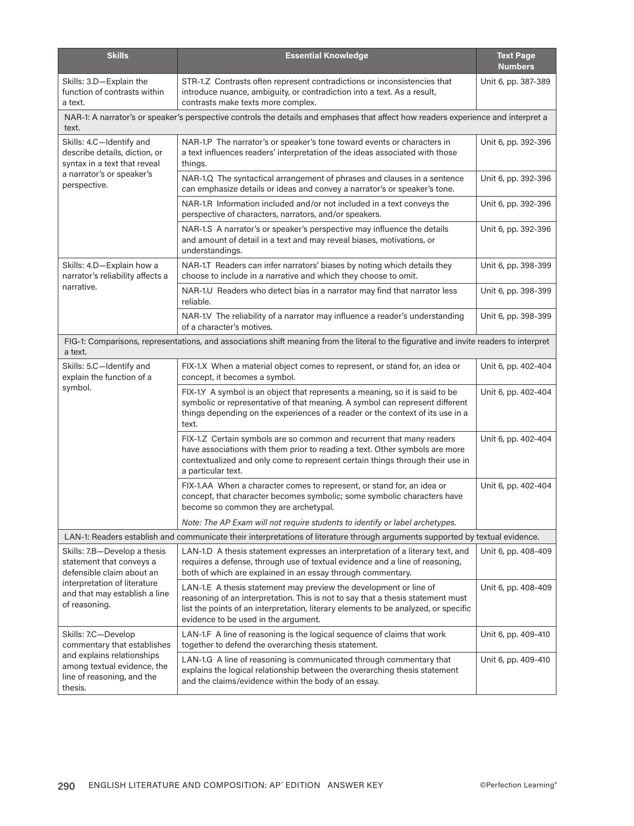| <b>Skills</b>                                                                                                                              | <b>Essential Knowledge</b>                                                                                                                                                                                                                                                          | <b>Text Page</b><br><b>Numbers</b> |
|--------------------------------------------------------------------------------------------------------------------------------------------|-------------------------------------------------------------------------------------------------------------------------------------------------------------------------------------------------------------------------------------------------------------------------------------|------------------------------------|
| Skills: 3.D-Explain the<br>function of contrasts within<br>a text.                                                                         | STR-1.Z Contrasts often represent contradictions or inconsistencies that<br>introduce nuance, ambiguity, or contradiction into a text. As a result,<br>contrasts make texts more complex.                                                                                           | Unit 6, pp. 387-389                |
| NAR-1: A narrator's or speaker's perspective controls the details and emphases that affect how readers experience and interpret a<br>text. |                                                                                                                                                                                                                                                                                     |                                    |
| Skills: 4.C-Identify and<br>describe details, diction, or<br>syntax in a text that reveal                                                  | NAR-1.P The narrator's or speaker's tone toward events or characters in<br>a text influences readers' interpretation of the ideas associated with those<br>things.                                                                                                                  | Unit 6, pp. 392-396                |
| a narrator's or speaker's<br>perspective.                                                                                                  | NAR-1.Q The syntactical arrangement of phrases and clauses in a sentence<br>can emphasize details or ideas and convey a narrator's or speaker's tone.                                                                                                                               | Unit 6, pp. 392-396                |
|                                                                                                                                            | NAR-1.R Information included and/or not included in a text conveys the<br>perspective of characters, narrators, and/or speakers.                                                                                                                                                    | Unit 6, pp. 392-396                |
|                                                                                                                                            | NAR-1.S A narrator's or speaker's perspective may influence the details<br>and amount of detail in a text and may reveal biases, motivations, or<br>understandings.                                                                                                                 | Unit 6, pp. 392-396                |
| Skills: 4.D-Explain how a<br>narrator's reliability affects a                                                                              | NAR-1.T Readers can infer narrators' biases by noting which details they<br>choose to include in a narrative and which they choose to omit.                                                                                                                                         | Unit 6, pp. 398-399                |
| narrative.                                                                                                                                 | NAR-1.U Readers who detect bias in a narrator may find that narrator less<br>reliable.                                                                                                                                                                                              | Unit 6, pp. 398-399                |
|                                                                                                                                            | NAR-1.V The reliability of a narrator may influence a reader's understanding<br>of a character's motives.                                                                                                                                                                           | Unit 6, pp. 398-399                |
| a text.                                                                                                                                    | FIG-1: Comparisons, representations, and associations shift meaning from the literal to the figurative and invite readers to interpret                                                                                                                                              |                                    |
| Skills: 5.C-Identify and<br>explain the function of a                                                                                      | FIX-1.X When a material object comes to represent, or stand for, an idea or<br>concept, it becomes a symbol.                                                                                                                                                                        | Unit 6, pp. 402-404                |
| symbol.                                                                                                                                    | FIX-1.Y A symbol is an object that represents a meaning, so it is said to be<br>symbolic or representative of that meaning. A symbol can represent different<br>things depending on the experiences of a reader or the context of its use in a<br>text.                             | Unit 6, pp. 402-404                |
|                                                                                                                                            | FIX-1.Z Certain symbols are so common and recurrent that many readers<br>have associations with them prior to reading a text. Other symbols are more<br>contextualized and only come to represent certain things through their use in<br>a particular text.                         | Unit 6, pp. 402-404                |
|                                                                                                                                            | FIX-1.AA When a character comes to represent, or stand for, an idea or<br>concept, that character becomes symbolic; some symbolic characters have<br>become so common they are archetypal.                                                                                          | Unit 6, pp. 402-404                |
|                                                                                                                                            | Note: The AP Exam will not require students to identify or label archetypes.                                                                                                                                                                                                        |                                    |
|                                                                                                                                            | LAN-1: Readers establish and communicate their interpretations of literature through arguments supported by textual evidence.                                                                                                                                                       |                                    |
| Skills: 7.B-Develop a thesis<br>statement that conveys a<br>defensible claim about an                                                      | LAN-1.D A thesis statement expresses an interpretation of a literary text, and<br>requires a defense, through use of textual evidence and a line of reasoning,<br>both of which are explained in an essay through commentary.                                                       | Unit 6, pp. 408-409                |
| interpretation of literature<br>and that may establish a line<br>of reasoning.                                                             | LAN-1.E A thesis statement may preview the development or line of<br>reasoning of an interpretation. This is not to say that a thesis statement must<br>list the points of an interpretation, literary elements to be analyzed, or specific<br>evidence to be used in the argument. | Unit 6, pp. 408-409                |
| Skills: 7.C-Develop<br>commentary that establishes                                                                                         | LAN-1.F A line of reasoning is the logical sequence of claims that work<br>together to defend the overarching thesis statement.                                                                                                                                                     | Unit 6, pp. 409-410                |
| and explains relationships<br>among textual evidence, the<br>line of reasoning, and the<br>thesis.                                         | LAN-1.G A line of reasoning is communicated through commentary that<br>explains the logical relationship between the overarching thesis statement<br>and the claims/evidence within the body of an essay.                                                                           | Unit 6, pp. 409-410                |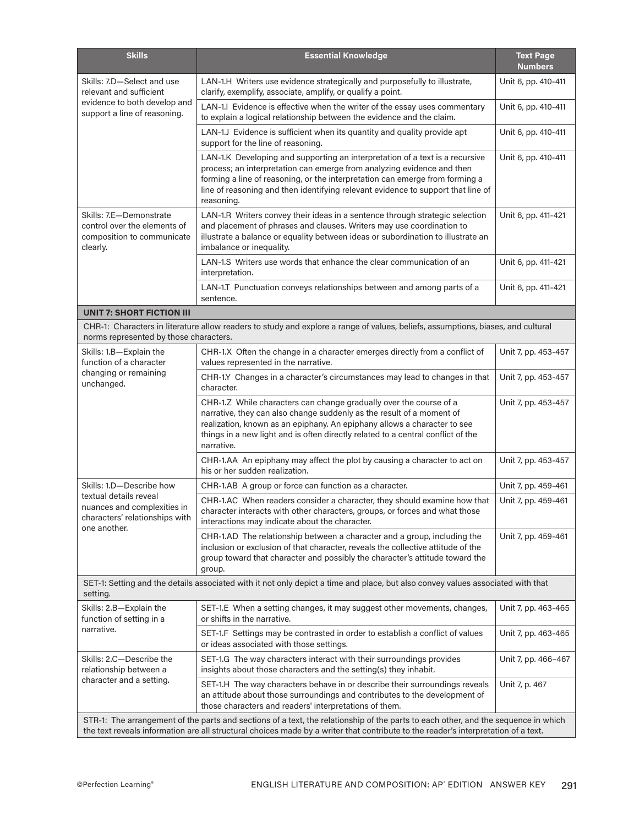| <b>Skills</b>                                                                                                                                                                                                                                                            | <b>Essential Knowledge</b>                                                                                                                                                                                                                                                                                                               | <b>Text Page</b><br><b>Numbers</b> |
|--------------------------------------------------------------------------------------------------------------------------------------------------------------------------------------------------------------------------------------------------------------------------|------------------------------------------------------------------------------------------------------------------------------------------------------------------------------------------------------------------------------------------------------------------------------------------------------------------------------------------|------------------------------------|
| Skills: 7.D-Select and use<br>relevant and sufficient                                                                                                                                                                                                                    | LAN-1.H Writers use evidence strategically and purposefully to illustrate,<br>clarify, exemplify, associate, amplify, or qualify a point.                                                                                                                                                                                                | Unit 6, pp. 410-411                |
| evidence to both develop and<br>support a line of reasoning.                                                                                                                                                                                                             | LAN-1.I Evidence is effective when the writer of the essay uses commentary<br>to explain a logical relationship between the evidence and the claim.                                                                                                                                                                                      | Unit 6, pp. 410-411                |
|                                                                                                                                                                                                                                                                          | LAN-1.J Evidence is sufficient when its quantity and quality provide apt<br>support for the line of reasoning.                                                                                                                                                                                                                           | Unit 6, pp. 410-411                |
|                                                                                                                                                                                                                                                                          | LAN-1.K Developing and supporting an interpretation of a text is a recursive<br>process; an interpretation can emerge from analyzing evidence and then<br>forming a line of reasoning, or the interpretation can emerge from forming a<br>line of reasoning and then identifying relevant evidence to support that line of<br>reasoning. | Unit 6, pp. 410-411                |
| Skills: 7.E-Demonstrate<br>control over the elements of<br>composition to communicate<br>clearly.                                                                                                                                                                        | LAN-1.R Writers convey their ideas in a sentence through strategic selection<br>and placement of phrases and clauses. Writers may use coordination to<br>illustrate a balance or equality between ideas or subordination to illustrate an<br>imbalance or inequality.                                                                    | Unit 6, pp. 411-421                |
|                                                                                                                                                                                                                                                                          | LAN-1.S Writers use words that enhance the clear communication of an<br>interpretation.                                                                                                                                                                                                                                                  | Unit 6, pp. 411-421                |
|                                                                                                                                                                                                                                                                          | LAN-1.T Punctuation conveys relationships between and among parts of a<br>sentence.                                                                                                                                                                                                                                                      | Unit 6, pp. 411-421                |
| <b>UNIT 7: SHORT FICTION III</b>                                                                                                                                                                                                                                         |                                                                                                                                                                                                                                                                                                                                          |                                    |
| norms represented by those characters.                                                                                                                                                                                                                                   | CHR-1: Characters in literature allow readers to study and explore a range of values, beliefs, assumptions, biases, and cultural                                                                                                                                                                                                         |                                    |
| Skills: 1.B-Explain the<br>function of a character                                                                                                                                                                                                                       | CHR-1.X Often the change in a character emerges directly from a conflict of<br>values represented in the narrative.                                                                                                                                                                                                                      | Unit 7, pp. 453-457                |
| changing or remaining<br>unchanged.                                                                                                                                                                                                                                      | CHR-1.Y Changes in a character's circumstances may lead to changes in that<br>character.                                                                                                                                                                                                                                                 | Unit 7, pp. 453-457                |
|                                                                                                                                                                                                                                                                          | CHR-1.Z While characters can change gradually over the course of a<br>narrative, they can also change suddenly as the result of a moment of<br>realization, known as an epiphany. An epiphany allows a character to see<br>things in a new light and is often directly related to a central conflict of the<br>narrative.                | Unit 7, pp. 453-457                |
|                                                                                                                                                                                                                                                                          | CHR-1.AA An epiphany may affect the plot by causing a character to act on<br>his or her sudden realization.                                                                                                                                                                                                                              | Unit 7, pp. 453-457                |
| Skills: 1.D-Describe how                                                                                                                                                                                                                                                 | CHR-1.AB A group or force can function as a character.                                                                                                                                                                                                                                                                                   | Unit 7, pp. 459-461                |
| textual details reveal<br>nuances and complexities in<br>characters' relationships with<br>one another.                                                                                                                                                                  | CHR-1.AC When readers consider a character, they should examine how that<br>character interacts with other characters, groups, or forces and what those<br>interactions may indicate about the character.                                                                                                                                | Unit 7, pp. 459-461                |
|                                                                                                                                                                                                                                                                          | CHR-1.AD The relationship between a character and a group, including the<br>inclusion or exclusion of that character, reveals the collective attitude of the<br>group toward that character and possibly the character's attitude toward the<br>group.                                                                                   | Unit 7, pp. 459-461                |
| SET-1: Setting and the details associated with it not only depict a time and place, but also convey values associated with that<br>setting.                                                                                                                              |                                                                                                                                                                                                                                                                                                                                          |                                    |
| Skills: 2.B-Explain the<br>function of setting in a<br>narrative.                                                                                                                                                                                                        | SET-1.E When a setting changes, it may suggest other movements, changes,<br>or shifts in the narrative.                                                                                                                                                                                                                                  | Unit 7, pp. 463-465                |
|                                                                                                                                                                                                                                                                          | SET-1.F Settings may be contrasted in order to establish a conflict of values<br>or ideas associated with those settings.                                                                                                                                                                                                                | Unit 7, pp. 463-465                |
| Skills: 2.C-Describe the<br>relationship between a<br>character and a setting.                                                                                                                                                                                           | SET-1.G The way characters interact with their surroundings provides<br>insights about those characters and the setting(s) they inhabit.                                                                                                                                                                                                 | Unit 7, pp. 466-467                |
|                                                                                                                                                                                                                                                                          | SET-1.H The way characters behave in or describe their surroundings reveals<br>an attitude about those surroundings and contributes to the development of<br>those characters and readers' interpretations of them.                                                                                                                      | Unit 7, p. 467                     |
| STR-1: The arrangement of the parts and sections of a text, the relationship of the parts to each other, and the sequence in which<br>the text reveals information are all structural choices made by a writer that contribute to the reader's interpretation of a text. |                                                                                                                                                                                                                                                                                                                                          |                                    |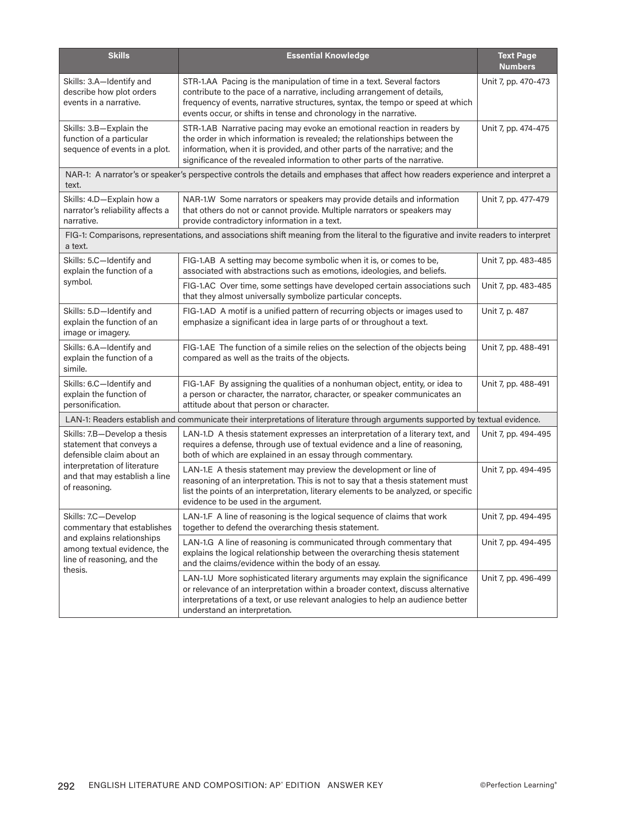| <b>Skills</b>                                                                                                                                                           | <b>Essential Knowledge</b>                                                                                                                                                                                                                                                                                       | <b>Text Page</b><br><b>Numbers</b> |
|-------------------------------------------------------------------------------------------------------------------------------------------------------------------------|------------------------------------------------------------------------------------------------------------------------------------------------------------------------------------------------------------------------------------------------------------------------------------------------------------------|------------------------------------|
| Skills: 3.A-Identify and<br>describe how plot orders<br>events in a narrative.                                                                                          | STR-1.AA Pacing is the manipulation of time in a text. Several factors<br>contribute to the pace of a narrative, including arrangement of details,<br>frequency of events, narrative structures, syntax, the tempo or speed at which<br>events occur, or shifts in tense and chronology in the narrative.        | Unit 7, pp. 470-473                |
| Skills: 3.B-Explain the<br>function of a particular<br>sequence of events in a plot.                                                                                    | STR-1.AB Narrative pacing may evoke an emotional reaction in readers by<br>the order in which information is revealed; the relationships between the<br>information, when it is provided, and other parts of the narrative; and the<br>significance of the revealed information to other parts of the narrative. | Unit 7, pp. 474-475                |
| text.                                                                                                                                                                   | NAR-1: A narrator's or speaker's perspective controls the details and emphases that affect how readers experience and interpret a                                                                                                                                                                                |                                    |
| Skills: 4.D-Explain how a<br>narrator's reliability affects a<br>narrative.                                                                                             | NAR-1.W Some narrators or speakers may provide details and information<br>that others do not or cannot provide. Multiple narrators or speakers may<br>provide contradictory information in a text.                                                                                                               | Unit 7, pp. 477-479                |
| a text.                                                                                                                                                                 | FIG-1: Comparisons, representations, and associations shift meaning from the literal to the figurative and invite readers to interpret                                                                                                                                                                           |                                    |
| Skills: 5.C-Identify and<br>explain the function of a                                                                                                                   | FIG-1.AB A setting may become symbolic when it is, or comes to be,<br>associated with abstractions such as emotions, ideologies, and beliefs.                                                                                                                                                                    | Unit 7, pp. 483-485                |
| symbol.                                                                                                                                                                 | FIG-1.AC Over time, some settings have developed certain associations such<br>that they almost universally symbolize particular concepts.                                                                                                                                                                        | Unit 7, pp. 483-485                |
| Skills: 5.D-Identify and<br>explain the function of an<br>image or imagery.                                                                                             | FIG-1.AD A motif is a unified pattern of recurring objects or images used to<br>emphasize a significant idea in large parts of or throughout a text.                                                                                                                                                             | Unit 7, p. 487                     |
| Skills: 6.A-Identify and<br>explain the function of a<br>simile.                                                                                                        | FIG-1.AE The function of a simile relies on the selection of the objects being<br>compared as well as the traits of the objects.                                                                                                                                                                                 | Unit 7, pp. 488-491                |
| Skills: 6.C-Identify and<br>explain the function of<br>personification.                                                                                                 | FIG-1.AF By assigning the qualities of a nonhuman object, entity, or idea to<br>a person or character, the narrator, character, or speaker communicates an<br>attitude about that person or character.                                                                                                           | Unit 7, pp. 488-491                |
|                                                                                                                                                                         | LAN-1: Readers establish and communicate their interpretations of literature through arguments supported by textual evidence.                                                                                                                                                                                    |                                    |
| Skills: 7.B-Develop a thesis<br>statement that conveys a<br>defensible claim about an<br>interpretation of literature<br>and that may establish a line<br>of reasoning. | LAN-1.D A thesis statement expresses an interpretation of a literary text, and<br>requires a defense, through use of textual evidence and a line of reasoning,<br>both of which are explained in an essay through commentary.                                                                                    | Unit 7, pp. 494-495                |
|                                                                                                                                                                         | LAN-1.E A thesis statement may preview the development or line of<br>reasoning of an interpretation. This is not to say that a thesis statement must<br>list the points of an interpretation, literary elements to be analyzed, or specific<br>evidence to be used in the argument.                              | Unit 7, pp. 494-495                |
| Skills: 7.C-Develop<br>commentary that establishes                                                                                                                      | LAN-1.F A line of reasoning is the logical sequence of claims that work<br>together to defend the overarching thesis statement.                                                                                                                                                                                  | Unit 7, pp. 494-495                |
| and explains relationships<br>among textual evidence, the<br>line of reasoning, and the<br>thesis.                                                                      | LAN-1.G A line of reasoning is communicated through commentary that<br>explains the logical relationship between the overarching thesis statement<br>and the claims/evidence within the body of an essay.                                                                                                        | Unit 7, pp. 494-495                |
|                                                                                                                                                                         | LAN-1.U More sophisticated literary arguments may explain the significance<br>or relevance of an interpretation within a broader context, discuss alternative<br>interpretations of a text, or use relevant analogies to help an audience better<br>understand an interpretation.                                | Unit 7, pp. 496-499                |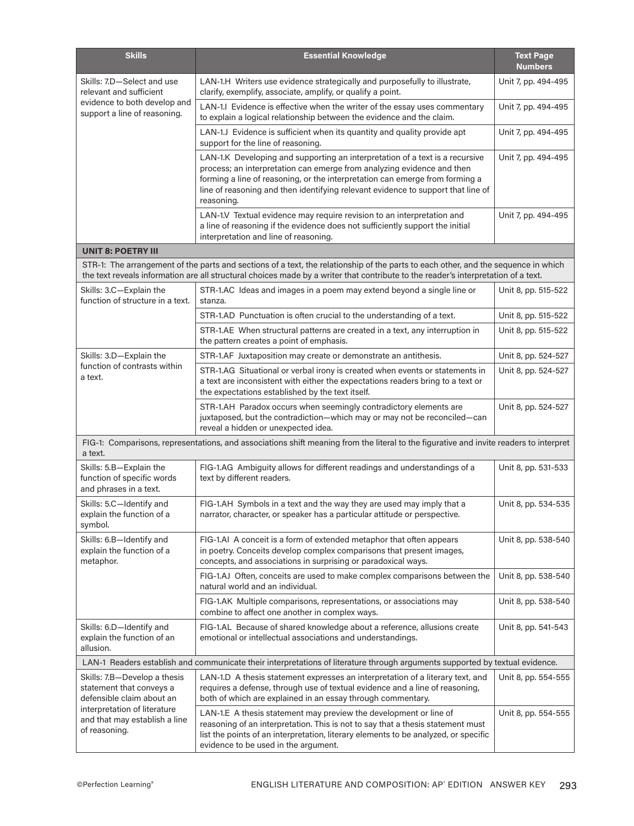| <b>Skills</b>                                                                         | <b>Essential Knowledge</b>                                                                                                                                                                                                                                                                                                               | <b>Text Page</b><br><b>Numbers</b> |
|---------------------------------------------------------------------------------------|------------------------------------------------------------------------------------------------------------------------------------------------------------------------------------------------------------------------------------------------------------------------------------------------------------------------------------------|------------------------------------|
| Skills: 7.D-Select and use<br>relevant and sufficient                                 | LAN-1.H Writers use evidence strategically and purposefully to illustrate,<br>clarify, exemplify, associate, amplify, or qualify a point.                                                                                                                                                                                                | Unit 7, pp. 494-495                |
| evidence to both develop and<br>support a line of reasoning.                          | LAN-1.I Evidence is effective when the writer of the essay uses commentary<br>to explain a logical relationship between the evidence and the claim.                                                                                                                                                                                      | Unit 7, pp. 494-495                |
|                                                                                       | LAN-1.J Evidence is sufficient when its quantity and quality provide apt<br>support for the line of reasoning.                                                                                                                                                                                                                           | Unit 7, pp. 494-495                |
|                                                                                       | LAN-1.K Developing and supporting an interpretation of a text is a recursive<br>process; an interpretation can emerge from analyzing evidence and then<br>forming a line of reasoning, or the interpretation can emerge from forming a<br>line of reasoning and then identifying relevant evidence to support that line of<br>reasoning. | Unit 7, pp. 494-495                |
|                                                                                       | LAN-1.V Textual evidence may require revision to an interpretation and<br>a line of reasoning if the evidence does not sufficiently support the initial<br>interpretation and line of reasoning.                                                                                                                                         | Unit 7, pp. 494-495                |
| <b>UNIT 8: POETRY III</b>                                                             |                                                                                                                                                                                                                                                                                                                                          |                                    |
|                                                                                       | STR-1: The arrangement of the parts and sections of a text, the relationship of the parts to each other, and the sequence in which<br>the text reveals information are all structural choices made by a writer that contribute to the reader's interpretation of a text.                                                                 |                                    |
| Skills: 3.C-Explain the<br>function of structure in a text.                           | STR-1.AC Ideas and images in a poem may extend beyond a single line or<br>stanza.                                                                                                                                                                                                                                                        | Unit 8, pp. 515-522                |
|                                                                                       | STR-1.AD Punctuation is often crucial to the understanding of a text.                                                                                                                                                                                                                                                                    | Unit 8, pp. 515-522                |
|                                                                                       | STR-1.AE When structural patterns are created in a text, any interruption in<br>the pattern creates a point of emphasis.                                                                                                                                                                                                                 | Unit 8, pp. 515-522                |
| Skills: 3.D-Explain the                                                               | STR-1.AF Juxtaposition may create or demonstrate an antithesis.                                                                                                                                                                                                                                                                          | Unit 8, pp. 524-527                |
| function of contrasts within<br>a text.                                               | STR-1.AG Situational or verbal irony is created when events or statements in<br>a text are inconsistent with either the expectations readers bring to a text or<br>the expectations established by the text itself.                                                                                                                      | Unit 8, pp. 524-527                |
|                                                                                       | STR-1.AH Paradox occurs when seemingly contradictory elements are<br>juxtaposed, but the contradiction-which may or may not be reconciled-can<br>reveal a hidden or unexpected idea.                                                                                                                                                     | Unit 8, pp. 524-527                |
| a text.                                                                               | FIG-1: Comparisons, representations, and associations shift meaning from the literal to the figurative and invite readers to interpret                                                                                                                                                                                                   |                                    |
| Skills: 5.B-Explain the<br>function of specific words<br>and phrases in a text.       | FIG-1.AG Ambiguity allows for different readings and understandings of a<br>text by different readers.                                                                                                                                                                                                                                   | Unit 8, pp. 531-533                |
| Skills: 5.C-Identify and<br>explain the function of a<br>symbol.                      | FIG-1.AH Symbols in a text and the way they are used may imply that a<br>narrator, character, or speaker has a particular attitude or perspective.                                                                                                                                                                                       | Unit 8, pp. 534-535                |
| Skills: 6.B-Identify and<br>explain the function of a<br>metaphor.                    | FIG-1.AI A conceit is a form of extended metaphor that often appears<br>in poetry. Conceits develop complex comparisons that present images,<br>concepts, and associations in surprising or paradoxical ways.                                                                                                                            | Unit 8, pp. 538-540                |
|                                                                                       | FIG-1.AJ Often, conceits are used to make complex comparisons between the<br>natural world and an individual.                                                                                                                                                                                                                            | Unit 8, pp. 538-540                |
|                                                                                       | FIG-1.AK Multiple comparisons, representations, or associations may<br>combine to affect one another in complex ways.                                                                                                                                                                                                                    | Unit 8, pp. 538-540                |
| Skills: 6.D-Identify and<br>explain the function of an<br>allusion.                   | FIG-1.AL Because of shared knowledge about a reference, allusions create<br>emotional or intellectual associations and understandings.                                                                                                                                                                                                   | Unit 8, pp. 541-543                |
|                                                                                       | LAN-1 Readers establish and communicate their interpretations of literature through arguments supported by textual evidence.                                                                                                                                                                                                             |                                    |
| Skills: 7.B-Develop a thesis<br>statement that conveys a<br>defensible claim about an | LAN-1.D A thesis statement expresses an interpretation of a literary text, and<br>requires a defense, through use of textual evidence and a line of reasoning,<br>both of which are explained in an essay through commentary.                                                                                                            | Unit 8, pp. 554-555                |
| interpretation of literature<br>and that may establish a line<br>of reasoning.        | LAN-1.E A thesis statement may preview the development or line of<br>reasoning of an interpretation. This is not to say that a thesis statement must<br>list the points of an interpretation, literary elements to be analyzed, or specific<br>evidence to be used in the argument.                                                      | Unit 8, pp. 554-555                |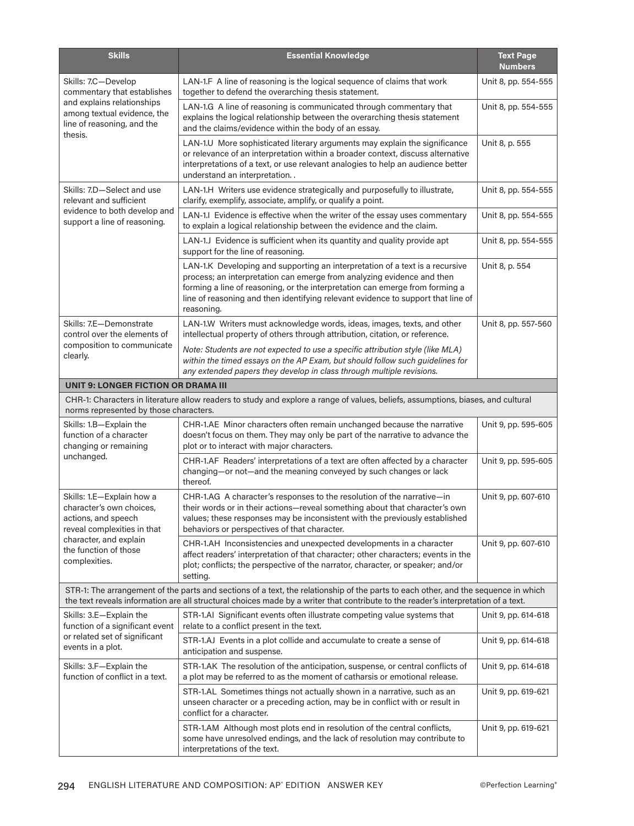| <b>Skills</b>                                                                                                                                                                   | <b>Essential Knowledge</b>                                                                                                                                                                                                                                                                                                               | <b>Text Page</b><br><b>Numbers</b> |
|---------------------------------------------------------------------------------------------------------------------------------------------------------------------------------|------------------------------------------------------------------------------------------------------------------------------------------------------------------------------------------------------------------------------------------------------------------------------------------------------------------------------------------|------------------------------------|
| Skills: 7.C-Develop<br>commentary that establishes<br>and explains relationships<br>among textual evidence, the<br>line of reasoning, and the<br>thesis.                        | LAN-1.F A line of reasoning is the logical sequence of claims that work<br>together to defend the overarching thesis statement.                                                                                                                                                                                                          | Unit 8, pp. 554-555                |
|                                                                                                                                                                                 | LAN-1.G A line of reasoning is communicated through commentary that<br>explains the logical relationship between the overarching thesis statement<br>and the claims/evidence within the body of an essay.                                                                                                                                | Unit 8, pp. 554-555                |
|                                                                                                                                                                                 | LAN-1.U More sophisticated literary arguments may explain the significance<br>or relevance of an interpretation within a broader context, discuss alternative<br>interpretations of a text, or use relevant analogies to help an audience better<br>understand an interpretation                                                         | Unit 8, p. 555                     |
| Skills: 7.D-Select and use<br>relevant and sufficient<br>evidence to both develop and<br>support a line of reasoning.                                                           | LAN-1.H Writers use evidence strategically and purposefully to illustrate,<br>clarify, exemplify, associate, amplify, or qualify a point.                                                                                                                                                                                                | Unit 8, pp. 554-555                |
|                                                                                                                                                                                 | LAN-1.I Evidence is effective when the writer of the essay uses commentary<br>to explain a logical relationship between the evidence and the claim.                                                                                                                                                                                      | Unit 8, pp. 554-555                |
|                                                                                                                                                                                 | LAN-1.J Evidence is sufficient when its quantity and quality provide apt<br>support for the line of reasoning.                                                                                                                                                                                                                           | Unit 8, pp. 554-555                |
|                                                                                                                                                                                 | LAN-1.K Developing and supporting an interpretation of a text is a recursive<br>process; an interpretation can emerge from analyzing evidence and then<br>forming a line of reasoning, or the interpretation can emerge from forming a<br>line of reasoning and then identifying relevant evidence to support that line of<br>reasoning. | Unit 8, p. 554                     |
| Skills: 7.E-Demonstrate<br>control over the elements of<br>composition to communicate<br>clearly.                                                                               | LAN-1.W Writers must acknowledge words, ideas, images, texts, and other<br>intellectual property of others through attribution, citation, or reference.                                                                                                                                                                                  | Unit 8, pp. 557-560                |
|                                                                                                                                                                                 | Note: Students are not expected to use a specific attribution style (like MLA)<br>within the timed essays on the AP Exam, but should follow such guidelines for<br>any extended papers they develop in class through multiple revisions.                                                                                                 |                                    |
| <b>UNIT 9: LONGER FICTION OR DRAMA III</b>                                                                                                                                      |                                                                                                                                                                                                                                                                                                                                          |                                    |
| norms represented by those characters.                                                                                                                                          | CHR-1: Characters in literature allow readers to study and explore a range of values, beliefs, assumptions, biases, and cultural                                                                                                                                                                                                         |                                    |
| Skills: 1.B-Explain the<br>function of a character<br>changing or remaining<br>unchanged.                                                                                       | CHR-1.AE Minor characters often remain unchanged because the narrative<br>doesn't focus on them. They may only be part of the narrative to advance the<br>plot or to interact with major characters.                                                                                                                                     | Unit 9, pp. 595-605                |
|                                                                                                                                                                                 | CHR-1.AF Readers' interpretations of a text are often affected by a character<br>changing-or not-and the meaning conveyed by such changes or lack<br>thereof.                                                                                                                                                                            | Unit 9, pp. 595-605                |
| Skills: 1.E-Explain how a<br>character's own choices,<br>actions, and speech<br>reveal complexities in that<br>character, and explain<br>the function of those<br>complexities. | CHR-1.AG A character's responses to the resolution of the narrative-in<br>their words or in their actions-reveal something about that character's own<br>values; these responses may be inconsistent with the previously established<br>behaviors or perspectives of that character.                                                     | Unit 9, pp. 607-610                |
|                                                                                                                                                                                 | CHR-1.AH Inconsistencies and unexpected developments in a character<br>affect readers' interpretation of that character; other characters; events in the<br>plot; conflicts; the perspective of the narrator, character, or speaker; and/or<br>setting.                                                                                  | Unit 9, pp. 607-610                |
|                                                                                                                                                                                 | STR-1: The arrangement of the parts and sections of a text, the relationship of the parts to each other, and the sequence in which<br>the text reveals information are all structural choices made by a writer that contribute to the reader's interpretation of a text.                                                                 |                                    |
| Skills: 3.E-Explain the<br>function of a significant event                                                                                                                      | STR-1.AI Significant events often illustrate competing value systems that<br>relate to a conflict present in the text.                                                                                                                                                                                                                   | Unit 9, pp. 614-618                |
| or related set of significant<br>events in a plot.                                                                                                                              | STR-1.AJ Events in a plot collide and accumulate to create a sense of<br>anticipation and suspense.                                                                                                                                                                                                                                      | Unit 9, pp. 614-618                |
| Skills: 3.F-Explain the<br>function of conflict in a text.                                                                                                                      | STR-1.AK The resolution of the anticipation, suspense, or central conflicts of<br>a plot may be referred to as the moment of catharsis or emotional release.                                                                                                                                                                             | Unit 9, pp. 614-618                |
|                                                                                                                                                                                 | STR-1.AL Sometimes things not actually shown in a narrative, such as an<br>unseen character or a preceding action, may be in conflict with or result in<br>conflict for a character.                                                                                                                                                     | Unit 9, pp. 619-621                |
|                                                                                                                                                                                 | STR-1.AM Although most plots end in resolution of the central conflicts,<br>some have unresolved endings, and the lack of resolution may contribute to<br>interpretations of the text.                                                                                                                                                   | Unit 9, pp. 619-621                |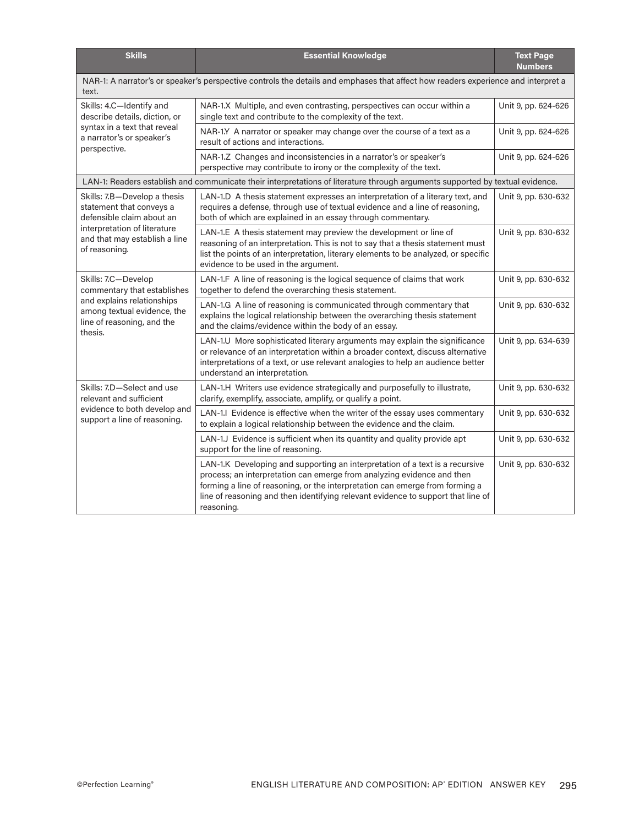| <b>Skills</b>                                                                                                                                                           | <b>Essential Knowledge</b>                                                                                                                                                                                                                                                                                                               | <b>Text Page</b><br><b>Numbers</b> |  |  |
|-------------------------------------------------------------------------------------------------------------------------------------------------------------------------|------------------------------------------------------------------------------------------------------------------------------------------------------------------------------------------------------------------------------------------------------------------------------------------------------------------------------------------|------------------------------------|--|--|
| NAR-1: A narrator's or speaker's perspective controls the details and emphases that affect how readers experience and interpret a<br>text.                              |                                                                                                                                                                                                                                                                                                                                          |                                    |  |  |
| Skills: 4.C-Identify and<br>describe details, diction, or<br>syntax in a text that reveal<br>a narrator's or speaker's<br>perspective.                                  | NAR-1.X Multiple, and even contrasting, perspectives can occur within a<br>single text and contribute to the complexity of the text.                                                                                                                                                                                                     | Unit 9, pp. 624-626                |  |  |
|                                                                                                                                                                         | NAR-1.Y A narrator or speaker may change over the course of a text as a<br>result of actions and interactions.                                                                                                                                                                                                                           | Unit 9, pp. 624-626                |  |  |
|                                                                                                                                                                         | NAR-1.Z Changes and inconsistencies in a narrator's or speaker's<br>perspective may contribute to irony or the complexity of the text.                                                                                                                                                                                                   | Unit 9, pp. 624-626                |  |  |
| LAN-1: Readers establish and communicate their interpretations of literature through arguments supported by textual evidence.                                           |                                                                                                                                                                                                                                                                                                                                          |                                    |  |  |
| Skills: 7.B-Develop a thesis<br>statement that conveys a<br>defensible claim about an<br>interpretation of literature<br>and that may establish a line<br>of reasoning. | LAN-1.D A thesis statement expresses an interpretation of a literary text, and<br>requires a defense, through use of textual evidence and a line of reasoning,<br>both of which are explained in an essay through commentary.                                                                                                            | Unit 9, pp. 630-632                |  |  |
|                                                                                                                                                                         | LAN-1.E A thesis statement may preview the development or line of<br>reasoning of an interpretation. This is not to say that a thesis statement must<br>list the points of an interpretation, literary elements to be analyzed, or specific<br>evidence to be used in the argument.                                                      | Unit 9, pp. 630-632                |  |  |
| Skills: 7.C-Develop<br>commentary that establishes<br>and explains relationships<br>among textual evidence, the<br>line of reasoning, and the<br>thesis.                | LAN-1.F A line of reasoning is the logical sequence of claims that work<br>together to defend the overarching thesis statement.                                                                                                                                                                                                          | Unit 9, pp. 630-632                |  |  |
|                                                                                                                                                                         | LAN-1.G A line of reasoning is communicated through commentary that<br>explains the logical relationship between the overarching thesis statement<br>and the claims/evidence within the body of an essay.                                                                                                                                | Unit 9, pp. 630-632                |  |  |
|                                                                                                                                                                         | LAN-1.U More sophisticated literary arguments may explain the significance<br>or relevance of an interpretation within a broader context, discuss alternative<br>interpretations of a text, or use relevant analogies to help an audience better<br>understand an interpretation.                                                        | Unit 9, pp. 634-639                |  |  |
| Skills: 7.D-Select and use<br>relevant and sufficient<br>evidence to both develop and<br>support a line of reasoning.                                                   | LAN-1.H Writers use evidence strategically and purposefully to illustrate,<br>clarify, exemplify, associate, amplify, or qualify a point.                                                                                                                                                                                                | Unit 9, pp. 630-632                |  |  |
|                                                                                                                                                                         | LAN-1.I Evidence is effective when the writer of the essay uses commentary<br>to explain a logical relationship between the evidence and the claim.                                                                                                                                                                                      | Unit 9, pp. 630-632                |  |  |
|                                                                                                                                                                         | LAN-1.J Evidence is sufficient when its quantity and quality provide apt<br>support for the line of reasoning.                                                                                                                                                                                                                           | Unit 9, pp. 630-632                |  |  |
|                                                                                                                                                                         | LAN-1.K Developing and supporting an interpretation of a text is a recursive<br>process; an interpretation can emerge from analyzing evidence and then<br>forming a line of reasoning, or the interpretation can emerge from forming a<br>line of reasoning and then identifying relevant evidence to support that line of<br>reasoning. | Unit 9, pp. 630-632                |  |  |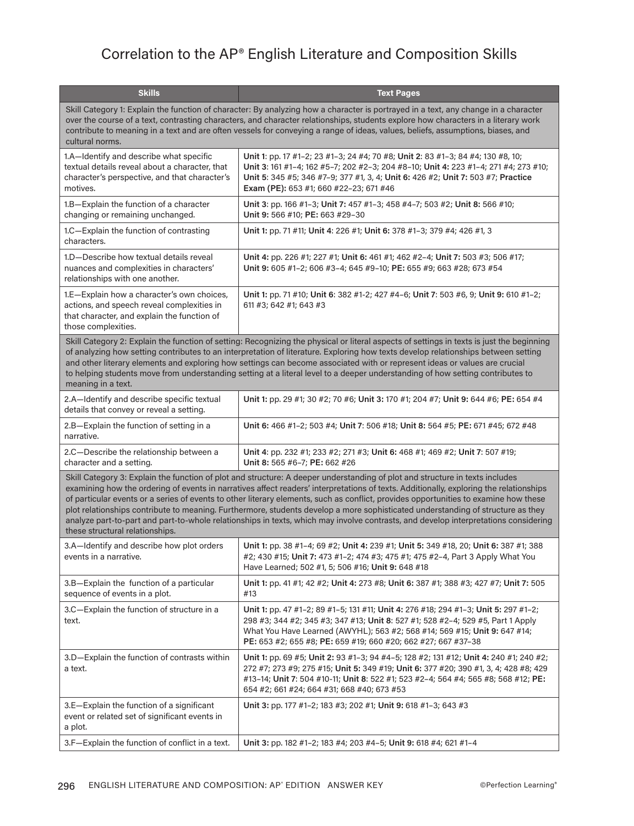## Correlation to the AP® English Literature and Composition Skills

| <b>Skills</b>                                                                                                                                                                                                                                                                                                                                                                                                                                                                                                                                                                                                                                                                                                               | <b>Text Pages</b>                                                                                                                                                                                                                                                                                                    |  |  |  |
|-----------------------------------------------------------------------------------------------------------------------------------------------------------------------------------------------------------------------------------------------------------------------------------------------------------------------------------------------------------------------------------------------------------------------------------------------------------------------------------------------------------------------------------------------------------------------------------------------------------------------------------------------------------------------------------------------------------------------------|----------------------------------------------------------------------------------------------------------------------------------------------------------------------------------------------------------------------------------------------------------------------------------------------------------------------|--|--|--|
| Skill Category 1: Explain the function of character: By analyzing how a character is portrayed in a text, any change in a character<br>over the course of a text, contrasting characters, and character relationships, students explore how characters in a literary work<br>contribute to meaning in a text and are often vessels for conveying a range of ideas, values, beliefs, assumptions, biases, and<br>cultural norms.                                                                                                                                                                                                                                                                                             |                                                                                                                                                                                                                                                                                                                      |  |  |  |
| 1.A-Identify and describe what specific<br>textual details reveal about a character, that<br>character's perspective, and that character's<br>motives.                                                                                                                                                                                                                                                                                                                                                                                                                                                                                                                                                                      | Unit 1: pp. 17 #1-2; 23 #1-3; 24 #4; 70 #8; Unit 2: 83 #1-3; 84 #4; 130 #8, 10;<br>Unit 3: 161 #1-4; 162 #5-7; 202 #2-3; 204 #8-10; Unit 4: 223 #1-4; 271 #4; 273 #10;<br>Unit 5: 345 #5; 346 #7-9; 377 #1, 3, 4; Unit 6: 426 #2; Unit 7: 503 #7; Practice<br>Exam (PE): 653 #1; 660 #22-23; 671 #46                 |  |  |  |
| 1.B-Explain the function of a character<br>changing or remaining unchanged.                                                                                                                                                                                                                                                                                                                                                                                                                                                                                                                                                                                                                                                 | Unit 3: pp. 166 #1-3; Unit 7: 457 #1-3; 458 #4-7; 503 #2; Unit 8: 566 #10;<br>Unit 9: 566 #10; PE: 663 #29-30                                                                                                                                                                                                        |  |  |  |
| 1.C-Explain the function of contrasting<br>characters.                                                                                                                                                                                                                                                                                                                                                                                                                                                                                                                                                                                                                                                                      | Unit 1: pp. 71 #11; Unit 4: 226 #1; Unit 6: 378 #1-3; 379 #4; 426 #1, 3                                                                                                                                                                                                                                              |  |  |  |
| 1.D-Describe how textual details reveal<br>nuances and complexities in characters'<br>relationships with one another.                                                                                                                                                                                                                                                                                                                                                                                                                                                                                                                                                                                                       | Unit 4: pp. 226 #1; 227 #1; Unit 6: 461 #1; 462 #2-4; Unit 7: 503 #3; 506 #17;<br>Unit 9: 605 #1-2; 606 #3-4; 645 #9-10; PE: 655 #9; 663 #28; 673 #54                                                                                                                                                                |  |  |  |
| 1.E-Explain how a character's own choices,<br>actions, and speech reveal complexities in<br>that character, and explain the function of<br>those complexities.                                                                                                                                                                                                                                                                                                                                                                                                                                                                                                                                                              | Unit 1: pp. 71 #10; Unit 6: 382 #1-2; 427 #4-6; Unit 7: 503 #6, 9; Unit 9: 610 #1-2;<br>611 #3; 642 #1; 643 #3                                                                                                                                                                                                       |  |  |  |
| Skill Category 2: Explain the function of setting: Recognizing the physical or literal aspects of settings in texts is just the beginning<br>of analyzing how setting contributes to an interpretation of literature. Exploring how texts develop relationships between setting<br>and other literary elements and exploring how settings can become associated with or represent ideas or values are crucial<br>to helping students move from understanding setting at a literal level to a deeper understanding of how setting contributes to<br>meaning in a text.                                                                                                                                                       |                                                                                                                                                                                                                                                                                                                      |  |  |  |
| 2.A-Identify and describe specific textual<br>details that convey or reveal a setting.                                                                                                                                                                                                                                                                                                                                                                                                                                                                                                                                                                                                                                      | Unit 1: pp. 29 #1; 30 #2; 70 #6; Unit 3: 170 #1; 204 #7; Unit 9: 644 #6; PE: 654 #4                                                                                                                                                                                                                                  |  |  |  |
| 2.B-Explain the function of setting in a<br>narrative.                                                                                                                                                                                                                                                                                                                                                                                                                                                                                                                                                                                                                                                                      | Unit 6: 466 #1-2; 503 #4; Unit 7: 506 #18; Unit 8: 564 #5; PE: 671 #45; 672 #48                                                                                                                                                                                                                                      |  |  |  |
| 2.C-Describe the relationship between a<br>character and a setting.                                                                                                                                                                                                                                                                                                                                                                                                                                                                                                                                                                                                                                                         | Unit 4: pp. 232 #1; 233 #2; 271 #3; Unit 6: 468 #1; 469 #2; Unit 7: 507 #19;<br>Unit 8: 565 #6-7; PE: 662 #26                                                                                                                                                                                                        |  |  |  |
| Skill Category 3: Explain the function of plot and structure: A deeper understanding of plot and structure in texts includes<br>examining how the ordering of events in narratives affect readers' interpretations of texts. Additionally, exploring the relationships<br>of particular events or a series of events to other literary elements, such as conflict, provides opportunities to examine how these<br>plot relationships contribute to meaning. Furthermore, students develop a more sophisticated understanding of structure as they<br>analyze part-to-part and part-to-whole relationships in texts, which may involve contrasts, and develop interpretations considering<br>these structural relationships. |                                                                                                                                                                                                                                                                                                                      |  |  |  |
| 3.A-Identify and describe how plot orders<br>events in a narrative.                                                                                                                                                                                                                                                                                                                                                                                                                                                                                                                                                                                                                                                         | Unit 1: pp. 38 #1-4; 69 #2; Unit 4: 239 #1; Unit 5: 349 #18, 20; Unit 6: 387 #1; 388<br>#2; 430 #15; Unit 7: 473 #1-2; 474 #3; 475 #1; 475 #2-4, Part 3 Apply What You<br>Have Learned; 502 #1, 5; 506 #16; Unit 9: 648 #18                                                                                          |  |  |  |
| 3.B-Explain the function of a particular<br>sequence of events in a plot.                                                                                                                                                                                                                                                                                                                                                                                                                                                                                                                                                                                                                                                   | Unit 1: pp. 41 #1; 42 #2; Unit 4: 273 #8; Unit 6: 387 #1; 388 #3; 427 #7; Unit 7: 505<br>#13                                                                                                                                                                                                                         |  |  |  |
| 3.C-Explain the function of structure in a<br>text.                                                                                                                                                                                                                                                                                                                                                                                                                                                                                                                                                                                                                                                                         | Unit 1: pp. 47 #1-2; 89 #1-5; 131 #11; Unit 4: 276 #18; 294 #1-3; Unit 5: 297 #1-2;<br>298 #3; 344 #2; 345 #3; 347 #13; Unit 8: 527 #1; 528 #2-4; 529 #5, Part 1 Apply<br>What You Have Learned (AWYHL); 563 #2; 568 #14; 569 #15; Unit 9: 647 #14;<br>PE: 653 #2; 655 #8; PE: 659 #19; 660 #20; 662 #27; 667 #37-38 |  |  |  |
| 3.D-Explain the function of contrasts within<br>a text.                                                                                                                                                                                                                                                                                                                                                                                                                                                                                                                                                                                                                                                                     | Unit 1: pp. 69 #5; Unit 2: 93 #1-3; 94 #4-5; 128 #2; 131 #12; Unit 4: 240 #1; 240 #2;<br>272 #7; 273 #9; 275 #15; Unit 5: 349 #19; Unit 6: 377 #20; 390 #1, 3, 4; 428 #8; 429<br>#13-14; Unit 7: 504 #10-11; Unit 8: 522 #1; 523 #2-4; 564 #4; 565 #8; 568 #12; PE:<br>654 #2; 661 #24; 664 #31; 668 #40; 673 #53    |  |  |  |
| 3.E-Explain the function of a significant<br>event or related set of significant events in<br>a plot.                                                                                                                                                                                                                                                                                                                                                                                                                                                                                                                                                                                                                       | Unit 3: pp. 177 #1-2; 183 #3; 202 #1; Unit 9: 618 #1-3; 643 #3                                                                                                                                                                                                                                                       |  |  |  |
| 3.F-Explain the function of conflict in a text.                                                                                                                                                                                                                                                                                                                                                                                                                                                                                                                                                                                                                                                                             | Unit 3: pp. 182 #1-2; 183 #4; 203 #4-5; Unit 9: 618 #4; 621 #1-4                                                                                                                                                                                                                                                     |  |  |  |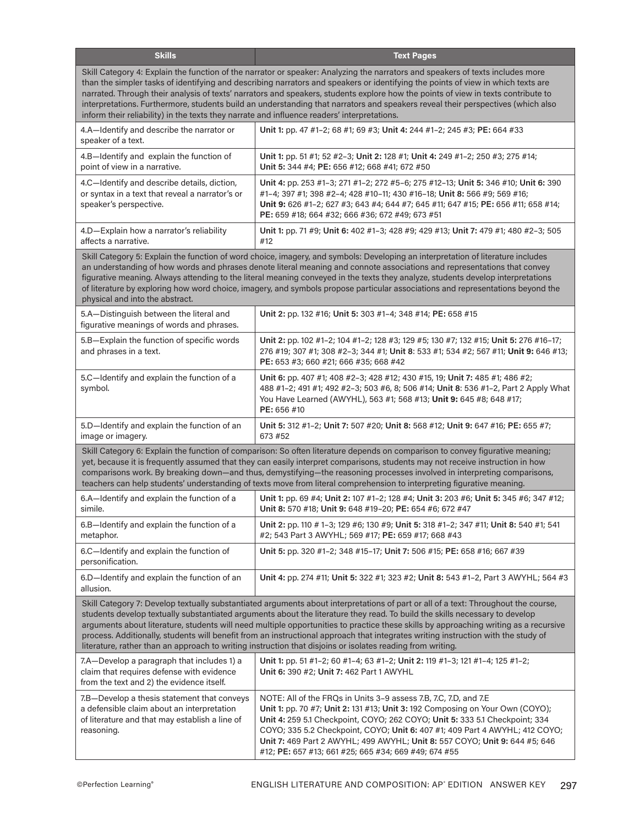| <b>Skills</b>                                                                                                                                                                                                                                                                                                                                                                                                                                                                                                                                                                                                                                                | <b>Text Pages</b>                                                                                                                                                                                                                                                                                                                                                                                                                                     |  |  |  |
|--------------------------------------------------------------------------------------------------------------------------------------------------------------------------------------------------------------------------------------------------------------------------------------------------------------------------------------------------------------------------------------------------------------------------------------------------------------------------------------------------------------------------------------------------------------------------------------------------------------------------------------------------------------|-------------------------------------------------------------------------------------------------------------------------------------------------------------------------------------------------------------------------------------------------------------------------------------------------------------------------------------------------------------------------------------------------------------------------------------------------------|--|--|--|
| Skill Category 4: Explain the function of the narrator or speaker: Analyzing the narrators and speakers of texts includes more<br>than the simpler tasks of identifying and describing narrators and speakers or identifying the points of view in which texts are<br>narrated. Through their analysis of texts' narrators and speakers, students explore how the points of view in texts contribute to<br>interpretations. Furthermore, students build an understanding that narrators and speakers reveal their perspectives (which also<br>inform their reliability) in the texts they narrate and influence readers' interpretations.                    |                                                                                                                                                                                                                                                                                                                                                                                                                                                       |  |  |  |
| 4.A-Identify and describe the narrator or<br>speaker of a text.                                                                                                                                                                                                                                                                                                                                                                                                                                                                                                                                                                                              | Unit 1: pp. 47 #1-2; 68 #1; 69 #3; Unit 4: 244 #1-2; 245 #3; PE: 664 #33                                                                                                                                                                                                                                                                                                                                                                              |  |  |  |
| 4.B-Identify and explain the function of<br>point of view in a narrative.                                                                                                                                                                                                                                                                                                                                                                                                                                                                                                                                                                                    | Unit 1: pp. 51 #1; 52 #2-3; Unit 2: 128 #1; Unit 4: 249 #1-2; 250 #3; 275 #14;<br>Unit 5: 344 #4; PE: 656 #12; 668 #41; 672 #50                                                                                                                                                                                                                                                                                                                       |  |  |  |
| 4.C-Identify and describe details, diction,<br>or syntax in a text that reveal a narrator's or<br>speaker's perspective.                                                                                                                                                                                                                                                                                                                                                                                                                                                                                                                                     | Unit 4: pp. 253 #1-3; 271 #1-2; 272 #5-6; 275 #12-13; Unit 5: 346 #10; Unit 6: 390<br>#1-4; 397 #1; 398 #2-4; 428 #10-11; 430 #16-18; Unit 8: 566 #9; 569 #16;<br>Unit 9: 626 #1-2; 627 #3; 643 #4; 644 #7; 645 #11; 647 #15; PE: 656 #11; 658 #14;<br>PE: 659 #18; 664 #32; 666 #36; 672 #49; 673 #51                                                                                                                                                |  |  |  |
| 4.D-Explain how a narrator's reliability<br>affects a narrative.                                                                                                                                                                                                                                                                                                                                                                                                                                                                                                                                                                                             | Unit 1: pp. 71 #9; Unit 6: 402 #1-3; 428 #9; 429 #13; Unit 7: 479 #1; 480 #2-3; 505<br>#12                                                                                                                                                                                                                                                                                                                                                            |  |  |  |
| Skill Category 5: Explain the function of word choice, imagery, and symbols: Developing an interpretation of literature includes<br>an understanding of how words and phrases denote literal meaning and connote associations and representations that convey<br>figurative meaning. Always attending to the literal meaning conveyed in the texts they analyze, students develop interpretations<br>of literature by exploring how word choice, imagery, and symbols propose particular associations and representations beyond the<br>physical and into the abstract.                                                                                      |                                                                                                                                                                                                                                                                                                                                                                                                                                                       |  |  |  |
| 5.A-Distinguish between the literal and<br>figurative meanings of words and phrases.                                                                                                                                                                                                                                                                                                                                                                                                                                                                                                                                                                         | Unit 2: pp. 132 #16; Unit 5: 303 #1-4; 348 #14; PE: 658 #15                                                                                                                                                                                                                                                                                                                                                                                           |  |  |  |
| 5.B-Explain the function of specific words<br>and phrases in a text.                                                                                                                                                                                                                                                                                                                                                                                                                                                                                                                                                                                         | Unit 2: pp. 102 #1–2; 104 #1–2; 128 #3; 129 #5; 130 #7; 132 #15; Unit 5: 276 #16–17;<br>276 #19; 307 #1; 308 #2-3; 344 #1; Unit 8: 533 #1; 534 #2; 567 #11; Unit 9: 646 #13;<br>PE: 653 #3; 660 #21; 666 #35; 668 #42                                                                                                                                                                                                                                 |  |  |  |
| 5.C-Identify and explain the function of a<br>symbol.                                                                                                                                                                                                                                                                                                                                                                                                                                                                                                                                                                                                        | Unit 6: pp. 407 #1; 408 #2-3; 428 #12; 430 #15, 19; Unit 7: 485 #1; 486 #2;<br>488 #1-2; 491 #1; 492 #2-3; 503 #6, 8; 506 #14; Unit 8: 536 #1-2, Part 2 Apply What<br>You Have Learned (AWYHL), 563 #1; 568 #13; Unit 9: 645 #8; 648 #17;<br>PE: 656 #10                                                                                                                                                                                              |  |  |  |
| 5.D-Identify and explain the function of an<br>image or imagery.                                                                                                                                                                                                                                                                                                                                                                                                                                                                                                                                                                                             | Unit 5: 312 #1-2; Unit 7: 507 #20; Unit 8: 568 #12; Unit 9: 647 #16; PE: 655 #7;<br>673 #52                                                                                                                                                                                                                                                                                                                                                           |  |  |  |
| Skill Category 6: Explain the function of comparison: So often literature depends on comparison to convey figurative meaning;<br>yet, because it is frequently assumed that they can easily interpret comparisons, students may not receive instruction in how<br>comparisons work. By breaking down—and thus, demystifying—the reasoning processes involved in interpreting comparisons,<br>teachers can help students' understanding of texts move from literal comprehension to interpreting figurative meaning.                                                                                                                                          |                                                                                                                                                                                                                                                                                                                                                                                                                                                       |  |  |  |
| 6.A-Identify and explain the function of a<br>simile.                                                                                                                                                                                                                                                                                                                                                                                                                                                                                                                                                                                                        | Unit 1: pp. 69 #4; Unit 2: 107 #1–2; 128 #4; Unit 3: 203 #6; Unit 5: 345 #6; 347 #12;<br>Unit 8: 570 #18; Unit 9: 648 #19-20; PE: 654 #6; 672 #47                                                                                                                                                                                                                                                                                                     |  |  |  |
| 6.B-Identify and explain the function of a<br>metaphor.                                                                                                                                                                                                                                                                                                                                                                                                                                                                                                                                                                                                      | Unit 2: pp. 110 # 1-3; 129 #6; 130 #9; Unit 5: 318 #1-2; 347 #11; Unit 8: 540 #1; 541<br>#2; 543 Part 3 AWYHL; 569 #17; PE: 659 #17; 668 #43                                                                                                                                                                                                                                                                                                          |  |  |  |
| 6.C-Identify and explain the function of<br>personification.                                                                                                                                                                                                                                                                                                                                                                                                                                                                                                                                                                                                 | Unit 5: pp. 320 #1–2; 348 #15–17; Unit 7: 506 #15; PE: 658 #16; 667 #39                                                                                                                                                                                                                                                                                                                                                                               |  |  |  |
| 6.D-Identify and explain the function of an<br>allusion.                                                                                                                                                                                                                                                                                                                                                                                                                                                                                                                                                                                                     | Unit 4: pp. 274 #11; Unit 5: 322 #1; 323 #2; Unit 8: 543 #1-2, Part 3 AWYHL; 564 #3                                                                                                                                                                                                                                                                                                                                                                   |  |  |  |
| Skill Category 7: Develop textually substantiated arguments about interpretations of part or all of a text: Throughout the course,<br>students develop textually substantiated arguments about the literature they read. To build the skills necessary to develop<br>arguments about literature, students will need multiple opportunities to practice these skills by approaching writing as a recursive<br>process. Additionally, students will benefit from an instructional approach that integrates writing instruction with the study of<br>literature, rather than an approach to writing instruction that disjoins or isolates reading from writing. |                                                                                                                                                                                                                                                                                                                                                                                                                                                       |  |  |  |
| 7.A-Develop a paragraph that includes 1) a<br>claim that requires defense with evidence<br>from the text and 2) the evidence itself.                                                                                                                                                                                                                                                                                                                                                                                                                                                                                                                         | Unit 1: pp. 51 #1-2; 60 #1-4; 63 #1-2; Unit 2: 119 #1-3; 121 #1-4; 125 #1-2;<br>Unit 6: 390 #2; Unit 7: 462 Part 1 AWYHL                                                                                                                                                                                                                                                                                                                              |  |  |  |
| 7.B-Develop a thesis statement that conveys<br>a defensible claim about an interpretation<br>of literature and that may establish a line of<br>reasoning.                                                                                                                                                                                                                                                                                                                                                                                                                                                                                                    | NOTE: All of the FRQs in Units 3-9 assess 7.B, 7.C, 7.D, and 7.E<br>Unit 1: pp. 70 #7; Unit 2: 131 #13; Unit 3: 192 Composing on Your Own (COYO);<br>Unit 4: 259 5.1 Checkpoint, COYO; 262 COYO; Unit 5: 333 5.1 Checkpoint; 334<br>COYO; 335 5.2 Checkpoint, COYO; Unit 6: 407 #1; 409 Part 4 AWYHL; 412 COYO;<br>Unit 7: 469 Part 2 AWYHL; 499 AWYHL; Unit 8: 557 COYO; Unit 9: 644 #5; 646<br>#12; PE: 657 #13; 661 #25; 665 #34; 669 #49; 674 #55 |  |  |  |